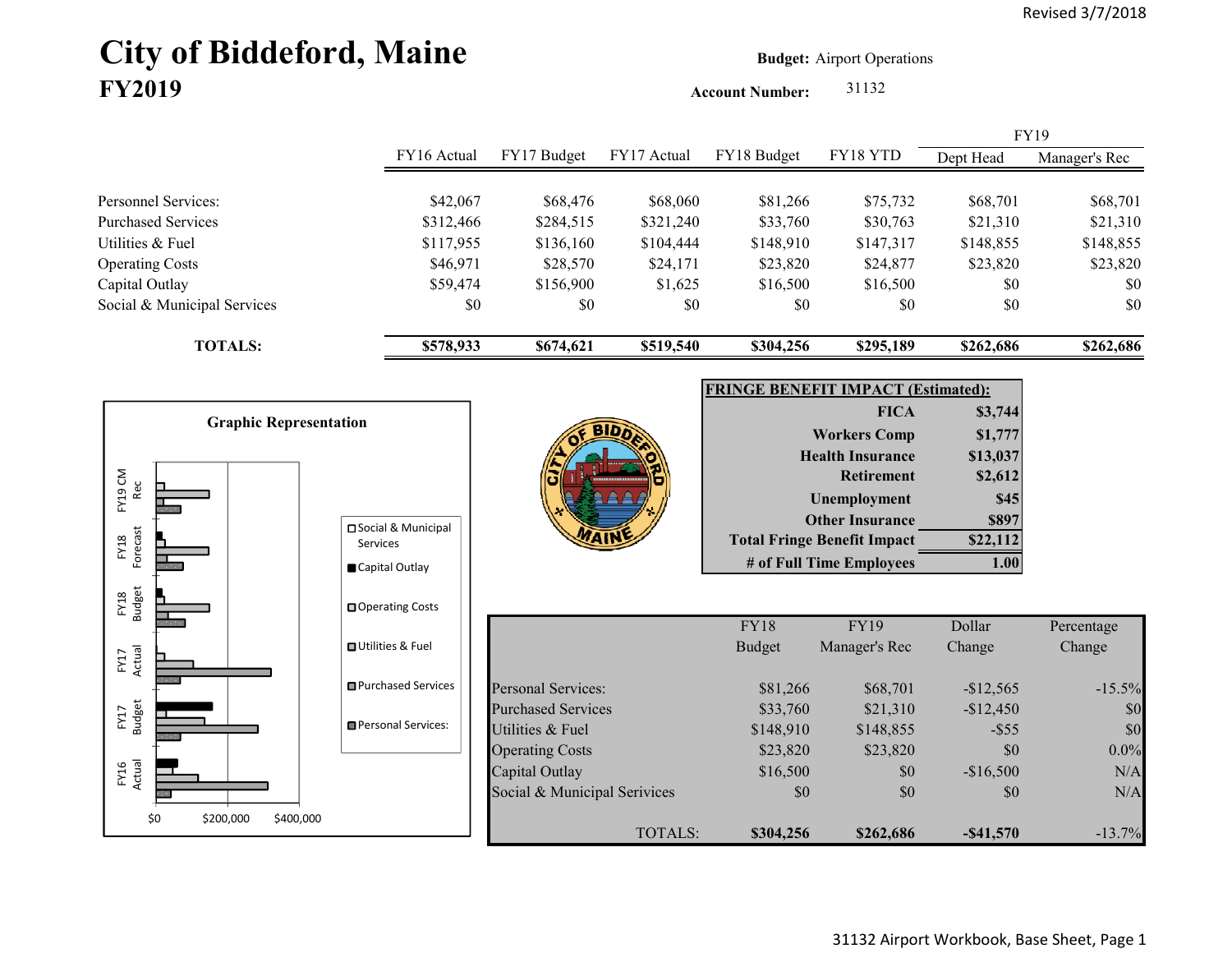# City of Biddeford, Maine **Budget: Airport Operations FY2019**

**Account Number:** 31132

|                             |             |             |             |             |           |           | <b>FY19</b>   |
|-----------------------------|-------------|-------------|-------------|-------------|-----------|-----------|---------------|
|                             | FY16 Actual | FY17 Budget | FY17 Actual | FY18 Budget | FY18 YTD  | Dept Head | Manager's Rec |
|                             |             |             |             |             |           |           |               |
| Personnel Services:         | \$42,067    | \$68,476    | \$68,060    | \$81,266    | \$75,732  | \$68,701  | \$68,701      |
| Purchased Services          | \$312,466   | \$284,515   | \$321,240   | \$33,760    | \$30,763  | \$21,310  | \$21,310      |
| Utilities & Fuel            | \$117,955   | \$136,160   | \$104,444   | \$148,910   | \$147,317 | \$148,855 | \$148,855     |
| <b>Operating Costs</b>      | \$46,971    | \$28,570    | \$24,171    | \$23,820    | \$24,877  | \$23,820  | \$23,820      |
| Capital Outlay              | \$59,474    | \$156,900   | \$1,625     | \$16,500    | \$16,500  | \$0       | \$0           |
| Social & Municipal Services | \$0         | \$0         | \$0         | \$0         | \$0       | \$0       | \$0           |
| <b>TOTALS:</b>              | \$578,933   | \$674,621   | \$519,540   | \$304,256   | \$295,189 | \$262,686 | \$262,686     |



| <b>FRINGE BENEFIT IMPACT (Estimated):</b> |          |  |  |  |  |
|-------------------------------------------|----------|--|--|--|--|
| <b>FICA</b>                               | \$3,744  |  |  |  |  |
| <b>Workers Comp</b>                       | \$1,777  |  |  |  |  |
| <b>Health Insurance</b>                   | \$13,037 |  |  |  |  |
| <b>Retirement</b>                         | \$2,612  |  |  |  |  |
| <b>Unemployment</b>                       | \$45     |  |  |  |  |
| <b>Other Insurance</b>                    | \$897    |  |  |  |  |
| <b>Total Fringe Benefit Impact</b>        | \$22,112 |  |  |  |  |
| # of Full Time Employees                  |          |  |  |  |  |

|                              | <b>FY18</b>   | <b>FY19</b>   | Dollar       | Percentage |
|------------------------------|---------------|---------------|--------------|------------|
|                              | <b>Budget</b> | Manager's Rec | Change       | Change     |
|                              |               |               |              |            |
| Personal Services:           | \$81,266      | \$68,701      | $-$12,565$   | $-15.5\%$  |
| <b>Purchased Services</b>    | \$33,760      | \$21,310      | $-$12,450$   | \$0        |
| Utilities & Fuel             | \$148,910     | \$148,855     | $-$ \$55     | \$0        |
| <b>Operating Costs</b>       | \$23,820      | \$23,820      | \$0          | $0.0\%$    |
| Capital Outlay               | \$16,500      | \$0           | $-$16,500$   | N/A        |
| Social & Municipal Serivices | \$0           | \$0           | \$0          | N/A        |
| TOTALS:                      | \$304,256     | \$262,686     | $-$ \$41,570 | $-13.7\%$  |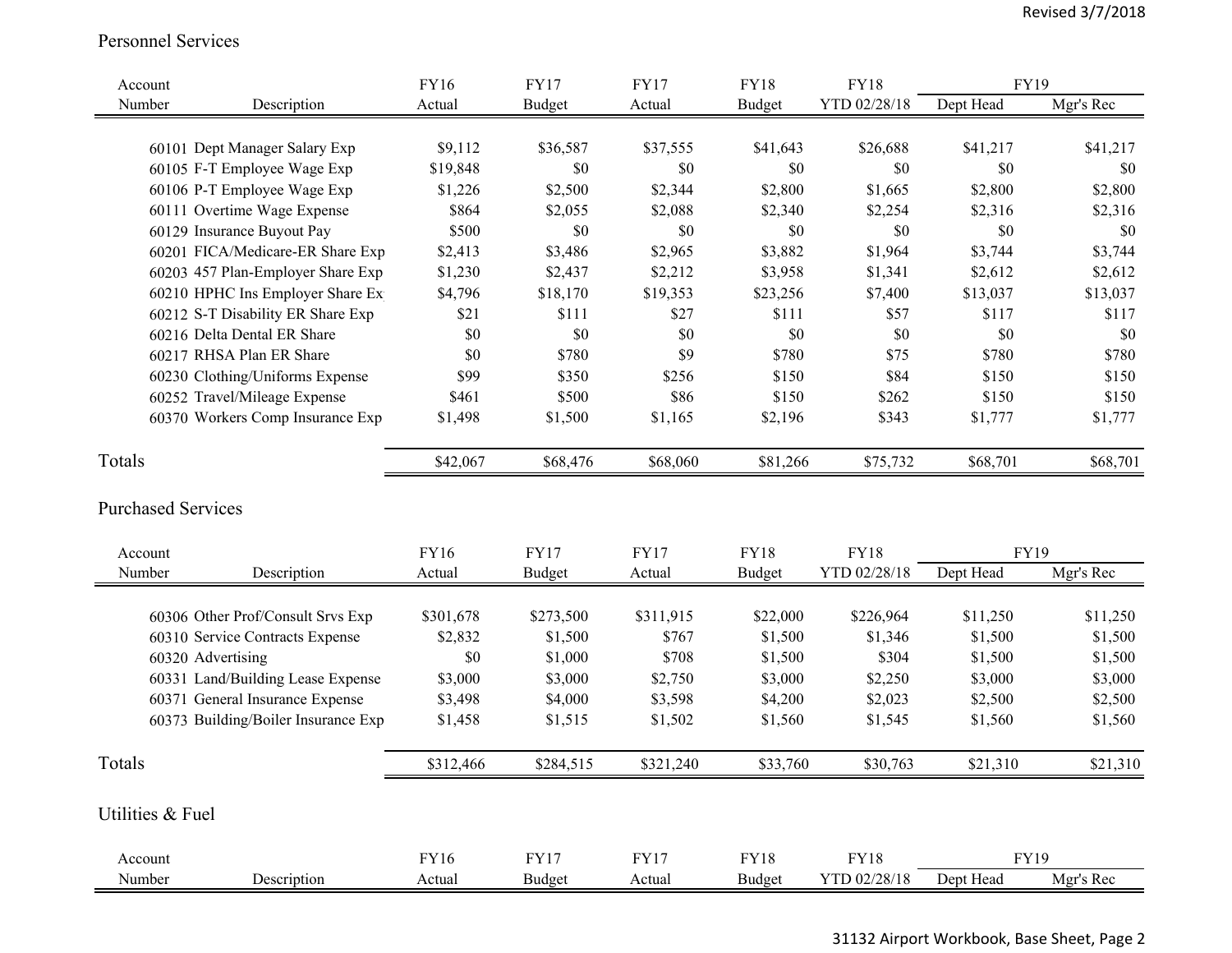#### Personnel Services

| Account                   |                                     | <b>FY16</b> | <b>FY17</b>   | <b>FY17</b> | <b>FY18</b>   | <b>FY18</b>  | <b>FY19</b> |           |
|---------------------------|-------------------------------------|-------------|---------------|-------------|---------------|--------------|-------------|-----------|
| Number                    | Description                         | Actual      | <b>Budget</b> | Actual      | <b>Budget</b> | YTD 02/28/18 | Dept Head   | Mgr's Rec |
|                           |                                     |             |               |             |               |              |             |           |
|                           | 60101 Dept Manager Salary Exp       | \$9,112     | \$36,587      | \$37,555    | \$41,643      | \$26,688     | \$41,217    | \$41,217  |
|                           | 60105 F-T Employee Wage Exp         | \$19,848    | \$0           | \$0         | \$0           | \$0          | \$0         | \$0       |
|                           | 60106 P-T Employee Wage Exp         | \$1,226     | \$2,500       | \$2,344     | \$2,800       | \$1,665      | \$2,800     | \$2,800   |
|                           | 60111 Overtime Wage Expense         | \$864       | \$2,055       | \$2,088     | \$2,340       | \$2,254      | \$2,316     | \$2,316   |
|                           | 60129 Insurance Buyout Pay          | \$500       | \$0           | \$0         | \$0           | \$0          | \$0         | \$0       |
|                           | 60201 FICA/Medicare-ER Share Exp    | \$2,413     | \$3,486       | \$2,965     | \$3,882       | \$1,964      | \$3,744     | \$3,744   |
|                           | 60203 457 Plan-Employer Share Exp   | \$1,230     | \$2,437       | \$2,212     | \$3,958       | \$1,341      | \$2,612     | \$2,612   |
|                           | 60210 HPHC Ins Employer Share Ex    | \$4,796     | \$18,170      | \$19,353    | \$23,256      | \$7,400      | \$13,037    | \$13,037  |
|                           | 60212 S-T Disability ER Share Exp   | \$21        | \$111         | \$27        | \$111         | \$57         | \$117       | \$117     |
|                           | 60216 Delta Dental ER Share         | $\$0$       | \$0           | \$0         | $\$0$         | \$0          | \$0         | \$0       |
|                           | 60217 RHSA Plan ER Share            | $\$0$       | \$780         | \$9         | \$780         | \$75         | \$780       | \$780     |
|                           | 60230 Clothing/Uniforms Expense     | \$99        | \$350         | \$256       | \$150         | \$84         | \$150       | \$150     |
|                           | 60252 Travel/Mileage Expense        | \$461       | \$500         | \$86        | \$150         | \$262        | \$150       | \$150     |
|                           | 60370 Workers Comp Insurance Exp    | \$1,498     | \$1,500       | \$1,165     | \$2,196       | \$343        | \$1,777     | \$1,777   |
| Totals                    |                                     | \$42,067    | \$68,476      | \$68,060    | \$81,266      | \$75,732     | \$68,701    | \$68,701  |
| <b>Purchased Services</b> |                                     |             |               |             |               |              |             |           |
| Account                   |                                     | <b>FY16</b> | <b>FY17</b>   | <b>FY17</b> | <b>FY18</b>   | <b>FY18</b>  | <b>FY19</b> |           |
| Number                    | Description                         | Actual      | <b>Budget</b> | Actual      | <b>Budget</b> | YTD 02/28/18 | Dept Head   | Mgr's Rec |
|                           |                                     |             |               |             |               |              |             |           |
|                           | 60306 Other Prof/Consult Srvs Exp   | \$301,678   | \$273,500     | \$311,915   | \$22,000      | \$226,964    | \$11,250    | \$11,250  |
|                           | 60310 Service Contracts Expense     | \$2,832     | \$1,500       | \$767       | \$1,500       | \$1,346      | \$1,500     | \$1,500   |
|                           | 60320 Advertising                   | $\$0$       | \$1,000       | \$708       | \$1,500       | \$304        | \$1,500     | \$1,500   |
|                           | 60331 Land/Building Lease Expense   | \$3,000     | \$3,000       | \$2,750     | \$3,000       | \$2,250      | \$3,000     | \$3,000   |
|                           | 60371 General Insurance Expense     | \$3,498     | \$4,000       | \$3,598     | \$4,200       | \$2,023      | \$2,500     | \$2,500   |
|                           | 60373 Building/Boiler Insurance Exp | \$1,458     | \$1,515       | \$1,502     | \$1,560       | \$1,545      | \$1,560     | \$1,560   |
| Totals                    |                                     | \$312,466   | \$284,515     | \$321,240   | \$33,760      | \$30,763     | \$21,310    | \$21,310  |
| Utilities & Fuel          |                                     |             |               |             |               |              |             |           |
| Account                   |                                     | <b>FY16</b> | <b>FY17</b>   | <b>FY17</b> | <b>FY18</b>   | <b>FY18</b>  | <b>FY19</b> |           |
| Number                    | Description                         | Actual      | Budget        | Actual      | <b>Budget</b> | YTD 02/28/18 | Dept Head   | Mgr's Rec |

31132 Airport Workbook, Base Sheet, Page 2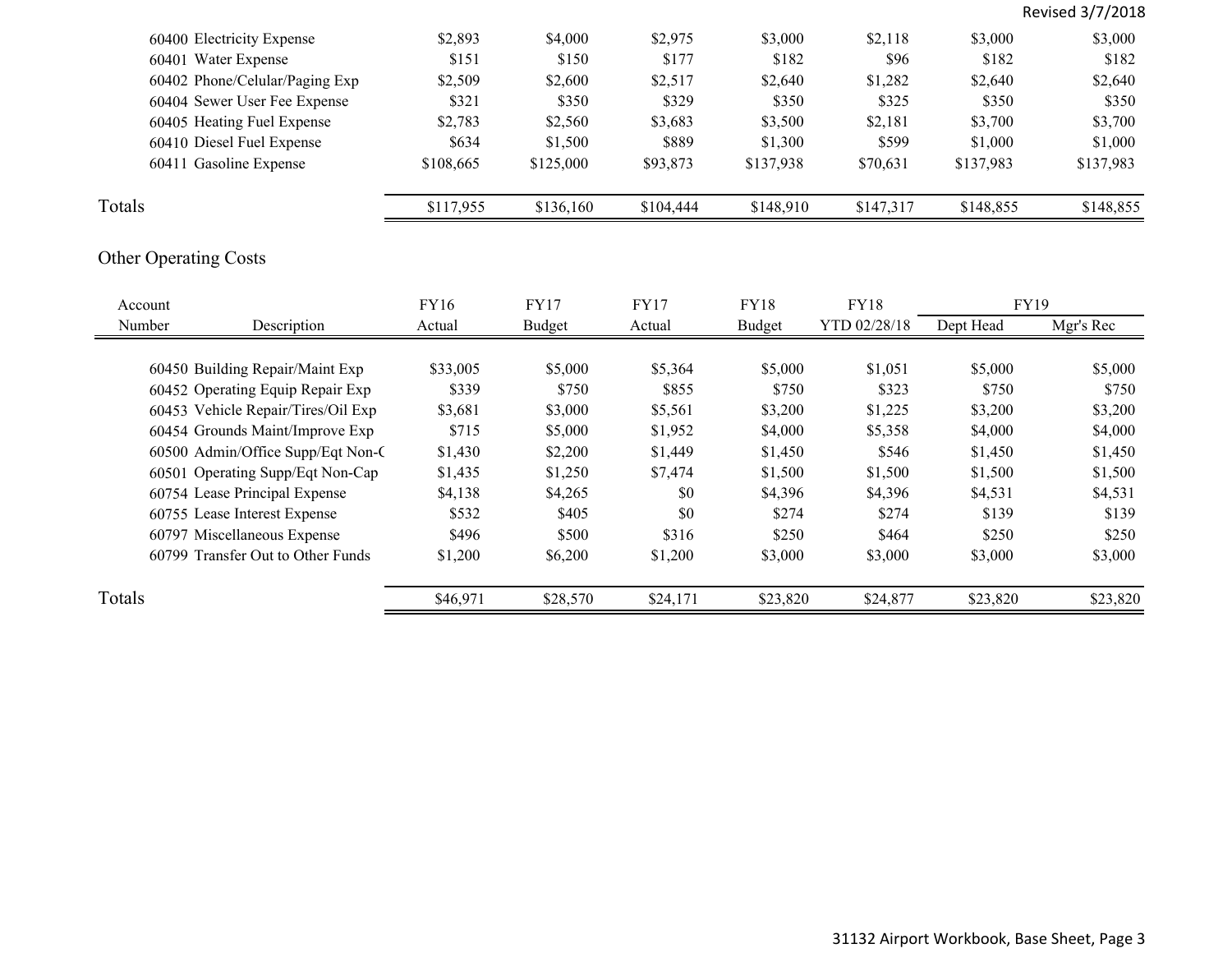|                                         |             |             |             |             |              |             | Revised 3/7/2018 |
|-----------------------------------------|-------------|-------------|-------------|-------------|--------------|-------------|------------------|
| 60400 Electricity Expense               | \$2,893     | \$4,000     | \$2,975     | \$3,000     | \$2,118      | \$3,000     | \$3,000          |
| 60401 Water Expense                     | \$151       | \$150       | \$177       | \$182       | \$96         | \$182       | \$182            |
| 60402 Phone/Celular/Paging Exp          | \$2,509     | \$2,600     | \$2,517     | \$2,640     | \$1,282      | \$2,640     | \$2,640          |
| 60404 Sewer User Fee Expense            | \$321       | \$350       | \$329       | \$350       | \$325        | \$350       | \$350            |
| 60405 Heating Fuel Expense              | \$2,783     | \$2,560     | \$3,683     | \$3,500     | \$2,181      | \$3,700     | \$3,700          |
| 60410 Diesel Fuel Expense               | \$634       | \$1,500     | \$889       | \$1,300     | \$599        | \$1,000     | \$1,000          |
| 60411 Gasoline Expense                  | \$108,665   | \$125,000   | \$93,873    | \$137,938   | \$70,631     | \$137,983   | \$137,983        |
| Totals                                  | \$117,955   | \$136,160   | \$104,444   | \$148,910   | \$147,317    | \$148,855   | \$148,855        |
| <b>Other Operating Costs</b><br>Account | <b>FY16</b> | <b>FY17</b> | <b>FY17</b> | <b>FY18</b> | <b>FY18</b>  | <b>FY19</b> |                  |
| Number<br>Description                   | Actual      | Budget      | Actual      | Budget      | YTD 02/28/18 | Dept Head   | Mgr's Rec        |
|                                         |             |             |             |             |              |             |                  |
|                                         |             |             |             |             |              |             |                  |
| 60450 Building Repair/Maint Exp         | \$33,005    | \$5,000     | \$5,364     | \$5,000     | \$1,051      | \$5,000     | \$5,000          |
| 60452 Operating Equip Repair Exp        | \$339       | \$750       | \$855       | \$750       | \$323        | \$750       | \$750            |
| 60453 Vehicle Repair/Tires/Oil Exp      | \$3,681     | \$3,000     | \$5,561     | \$3,200     | \$1,225      | \$3,200     | \$3,200          |
| 60454 Grounds Maint/Improve Exp         | \$715       | \$5,000     | \$1,952     | \$4,000     | \$5,358      | \$4,000     | \$4,000          |
| 60500 Admin/Office Supp/Eqt Non-C       | \$1,430     | \$2,200     | \$1,449     | \$1,450     | \$546        | \$1,450     | \$1,450          |
| 60501 Operating Supp/Eqt Non-Cap        | \$1,435     | \$1,250     | \$7,474     | \$1,500     | \$1,500      | \$1,500     | \$1,500          |
| 60754 Lease Principal Expense           | \$4,138     | \$4,265     | \$0         | \$4,396     | \$4,396      | \$4,531     | \$4,531          |
| 60755 Lease Interest Expense            | \$532       | \$405       | \$0         | \$274       | \$274        | \$139       | \$139            |
| 60797 Miscellaneous Expense             | \$496       | \$500       | \$316       | \$250       | \$464        | \$250       | \$250            |
| 60799 Transfer Out to Other Funds       | \$1,200     | \$6,200     | \$1,200     | \$3,000     | \$3,000      | \$3,000     | \$3,000          |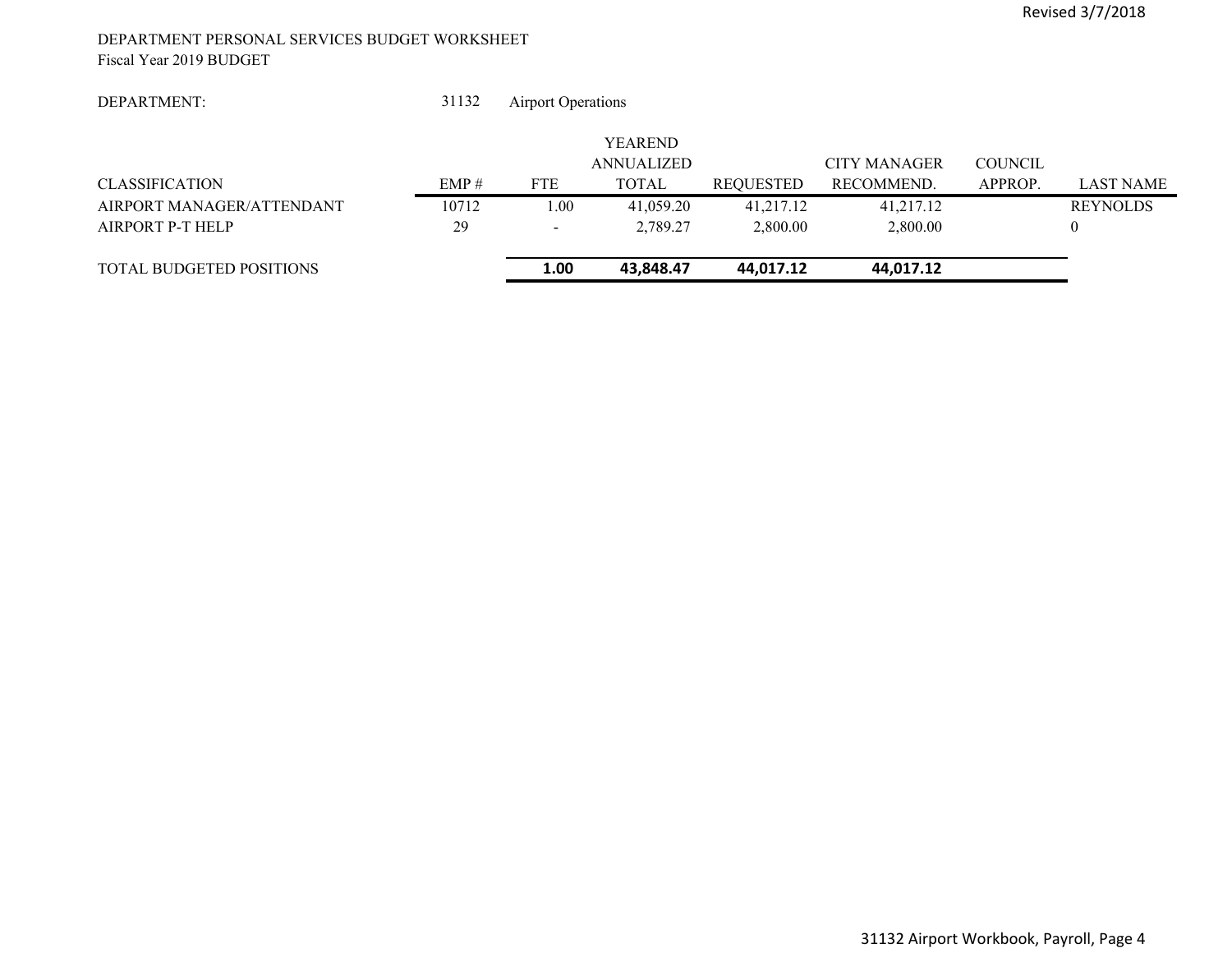#### DEPARTMENT PERSONAL SERVICES BUDGET WORKSHEET Fiscal Year 2019 BUDGET

| DEPARTMENT: |
|-------------|
|-------------|

 31132Airport Operations

|                                 |       |            | <b>YEAREND</b> |                  |                     |                |                  |
|---------------------------------|-------|------------|----------------|------------------|---------------------|----------------|------------------|
|                                 |       |            | ANNUALIZED     |                  | <b>CITY MANAGER</b> | <b>COUNCIL</b> |                  |
| <b>CLASSIFICATION</b>           | EMP#  | <b>FTE</b> | TOTAL          | <b>REQUESTED</b> | RECOMMEND.          | APPROP.        | <b>LAST NAME</b> |
| AIRPORT MANAGER/ATTENDANT       | 10712 | 0.00       | 41,059.20      | 41,217.12        | 41,217.12           |                | <b>REYNOLDS</b>  |
| AIRPORT P-T HELP                | 29    | $\sim$     | 2.789.27       | 2,800.00         | 2,800.00            |                |                  |
| <b>TOTAL BUDGETED POSITIONS</b> |       | 1.00       | 43.848.47      | 44.017.12        | 44,017.12           |                |                  |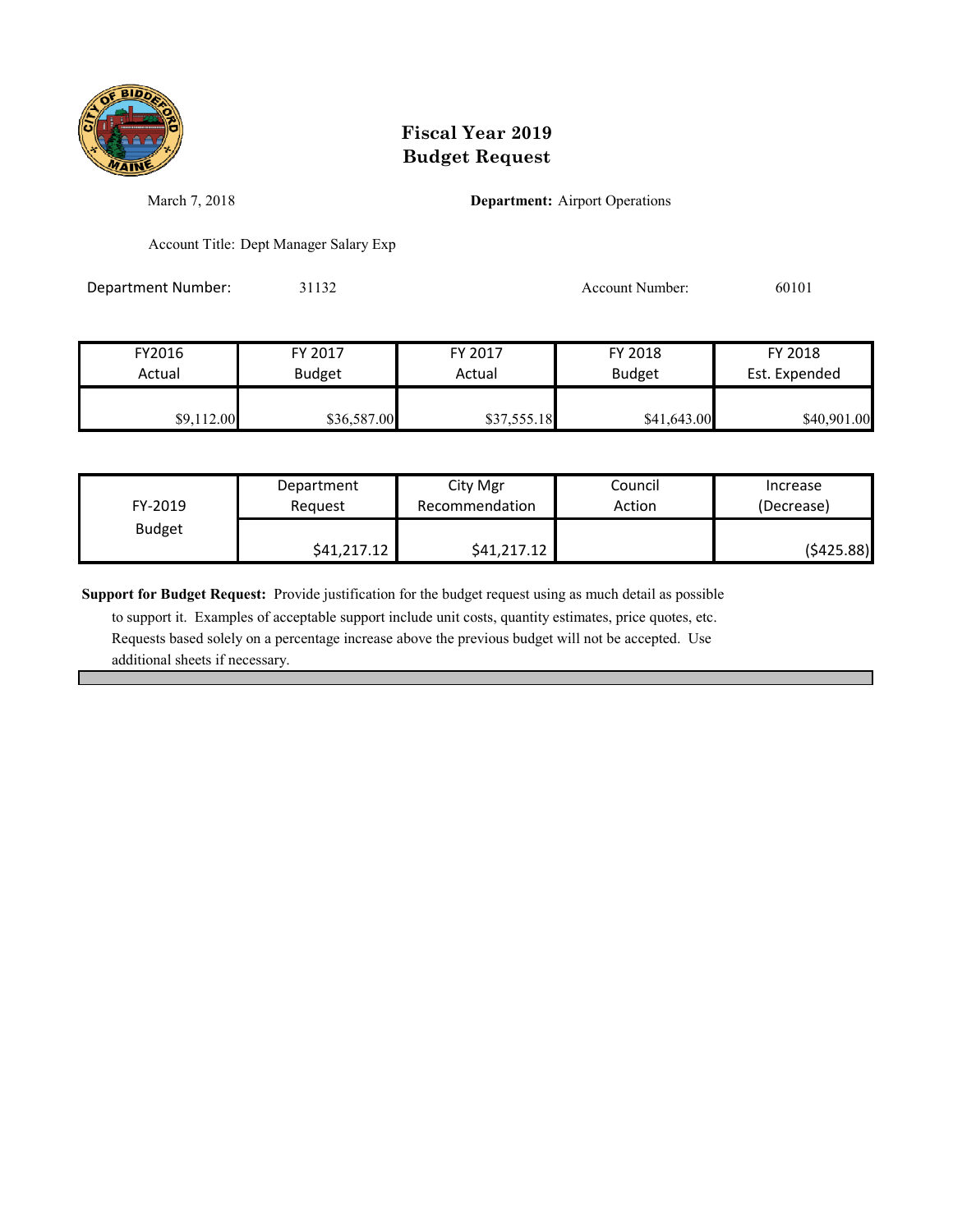

March 7, 2018 **Department:** Airport Operations

Account Title: Dept Manager Salary Exp

Department Number: 31132 31132 Account Number: 60101

| FY2016     | FY 2017       | FY 2017     | FY 2018       | FY 2018       |
|------------|---------------|-------------|---------------|---------------|
| Actual     | <b>Budget</b> | Actual      | <b>Budget</b> | Est. Expended |
| \$9,112.00 | \$36,587.00   | \$37,555.18 | \$41,643.00   | \$40,901.00   |

| FY-2019       | Department  | City Mgr       | Council | Increase   |
|---------------|-------------|----------------|---------|------------|
|               | Reauest     | Recommendation | Action  | (Decrease) |
| <b>Budget</b> | \$41,217.12 | \$41,217.12    |         | (\$425.88) |

**Support for Budget Request:** Provide justification for the budget request using as much detail as possible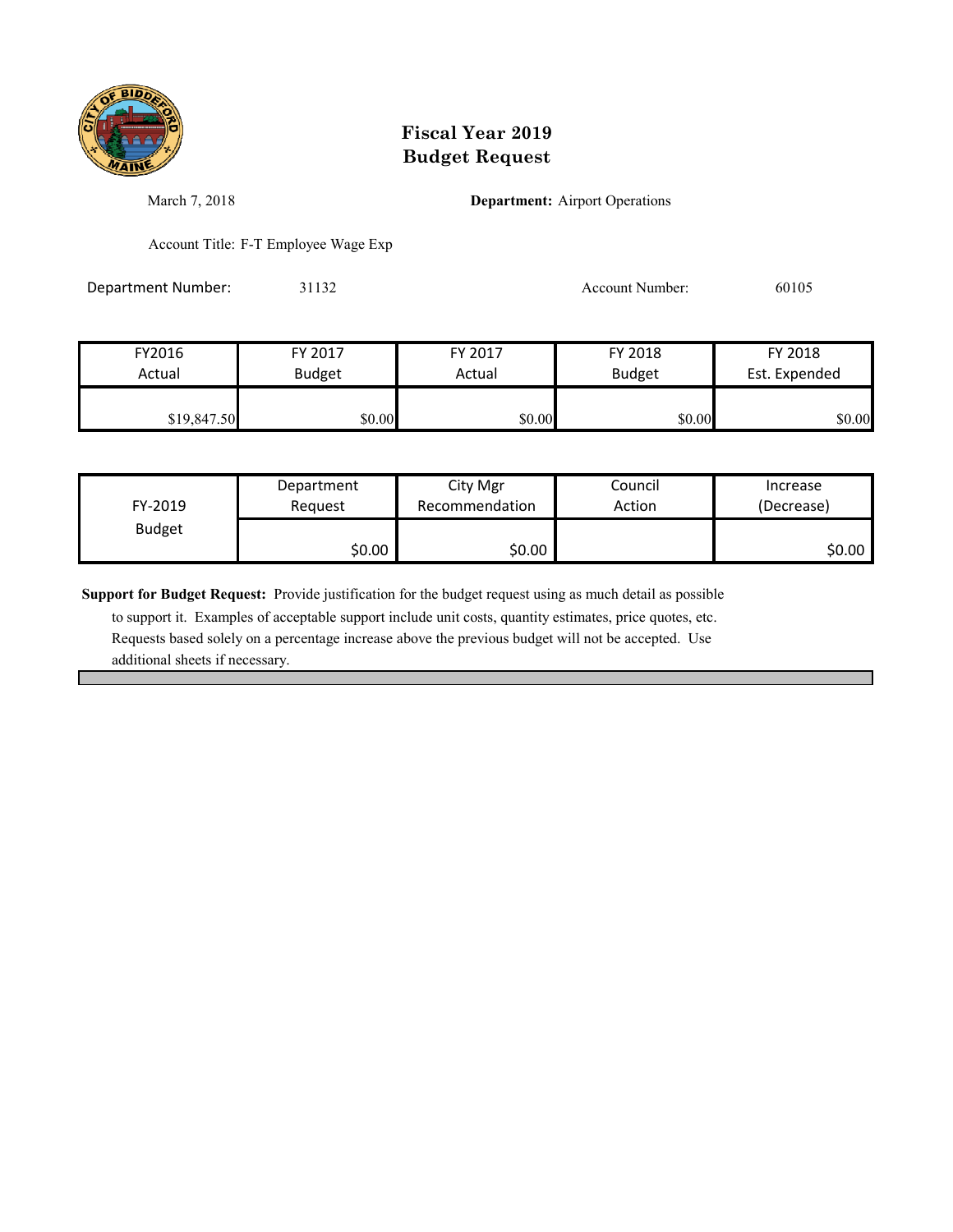

March 7, 2018 **Department:** Airport Operations

Account Title: F-T Employee Wage Exp

Department Number: 31132 31132 Account Number: 60105

| FY2016      | FY 2017       | FY 2017 | FY 2018       | FY 2018       |
|-------------|---------------|---------|---------------|---------------|
| Actual      | <b>Budget</b> | Actual  | <b>Budget</b> | Est. Expended |
|             |               |         |               |               |
| \$19,847.50 | \$0.00        | \$0.00  | \$0.00        | \$0.00        |

| FY-2019       | Department | City Mgr       | Council | Increase   |
|---------------|------------|----------------|---------|------------|
|               | Reauest    | Recommendation | Action  | (Decrease) |
| <b>Budget</b> | \$0.00     | \$0.00         |         | \$0.00     |

**Support for Budget Request:** Provide justification for the budget request using as much detail as possible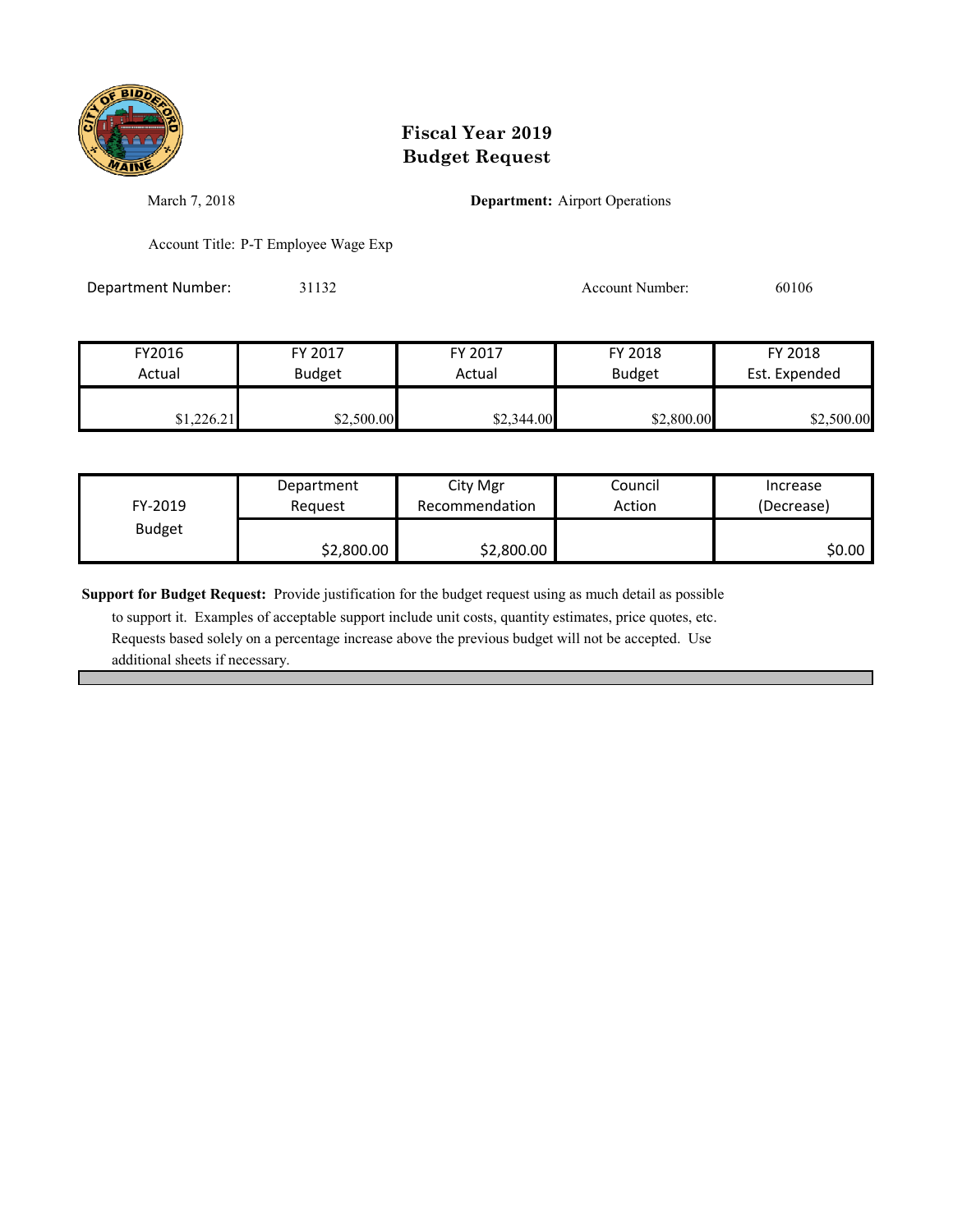

March 7, 2018 **Department:** Airport Operations

Account Title: P-T Employee Wage Exp

Department Number: 31132 31132 Account Number: 60106

| FY2016     | FY 2017       | FY 2017    | FY 2018       | FY 2018       |
|------------|---------------|------------|---------------|---------------|
| Actual     | <b>Budget</b> | Actual     | <b>Budget</b> | Est. Expended |
| \$1,226.21 | \$2,500.00    | \$2,344.00 | \$2,800.00    | \$2,500.00    |

| FY-2019       | Department | City Mgr       | Council | Increase   |
|---------------|------------|----------------|---------|------------|
|               | Reauest    | Recommendation | Action  | (Decrease) |
| <b>Budget</b> | \$2,800.00 | \$2,800.00     |         | \$0.00     |

**Support for Budget Request:** Provide justification for the budget request using as much detail as possible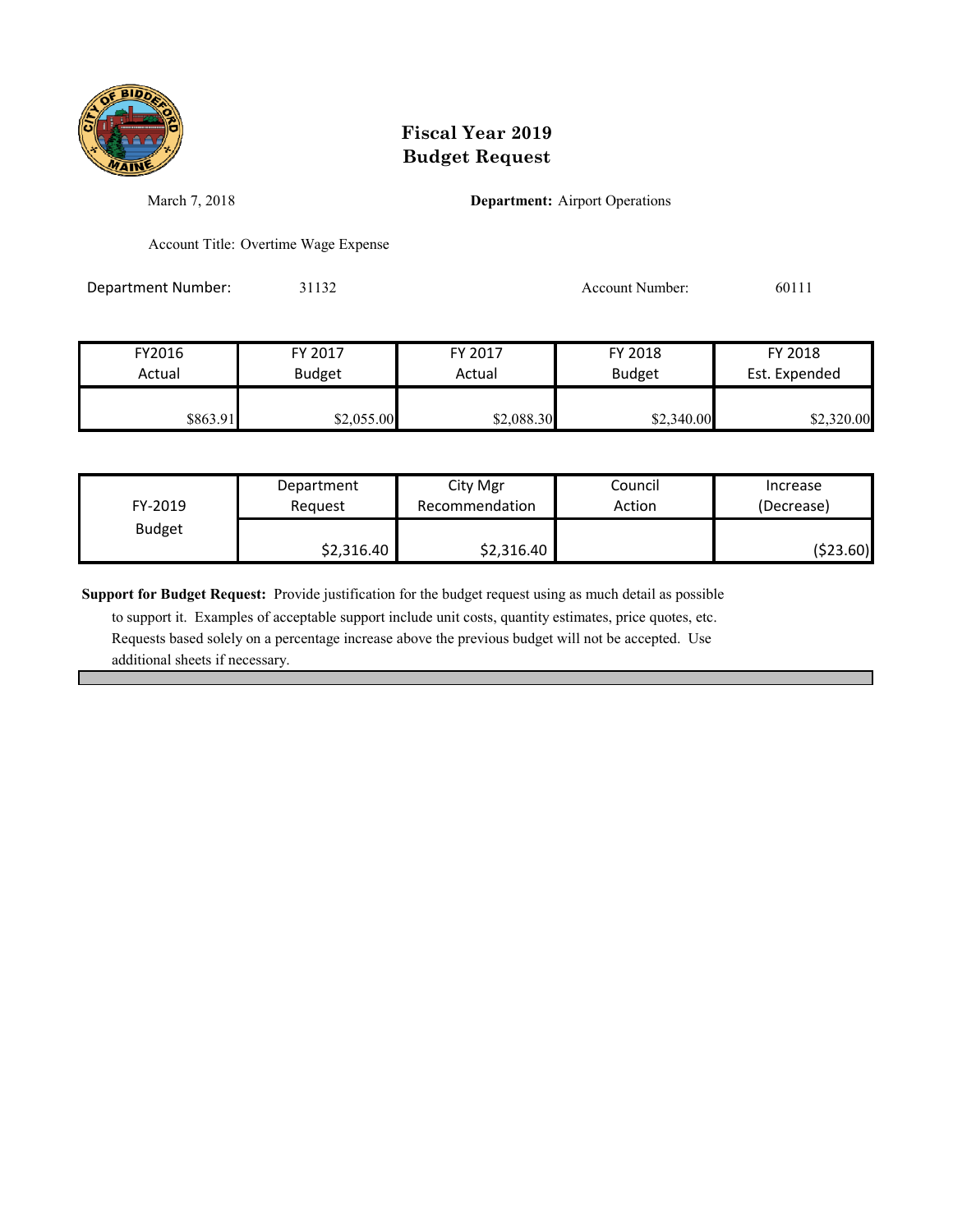

March 7, 2018 **Department:** Airport Operations

Account Title: Overtime Wage Expense

Department Number: 31132 31132 Account Number: 60111

| FY2016   | FY 2017       | FY 2017    | FY 2018       | FY 2018       |
|----------|---------------|------------|---------------|---------------|
| Actual   | <b>Budget</b> | Actual     | <b>Budget</b> | Est. Expended |
| \$863.91 | \$2,055.00    | \$2,088.30 | \$2,340.00    | \$2,320.00    |

| FY-2019       | Department | City Mgr       | Council | Increase   |
|---------------|------------|----------------|---------|------------|
|               | Reauest    | Recommendation | Action  | (Decrease) |
| <b>Budget</b> | \$2,316.40 | \$2,316.40     |         | (\$23.60)  |

**Support for Budget Request:** Provide justification for the budget request using as much detail as possible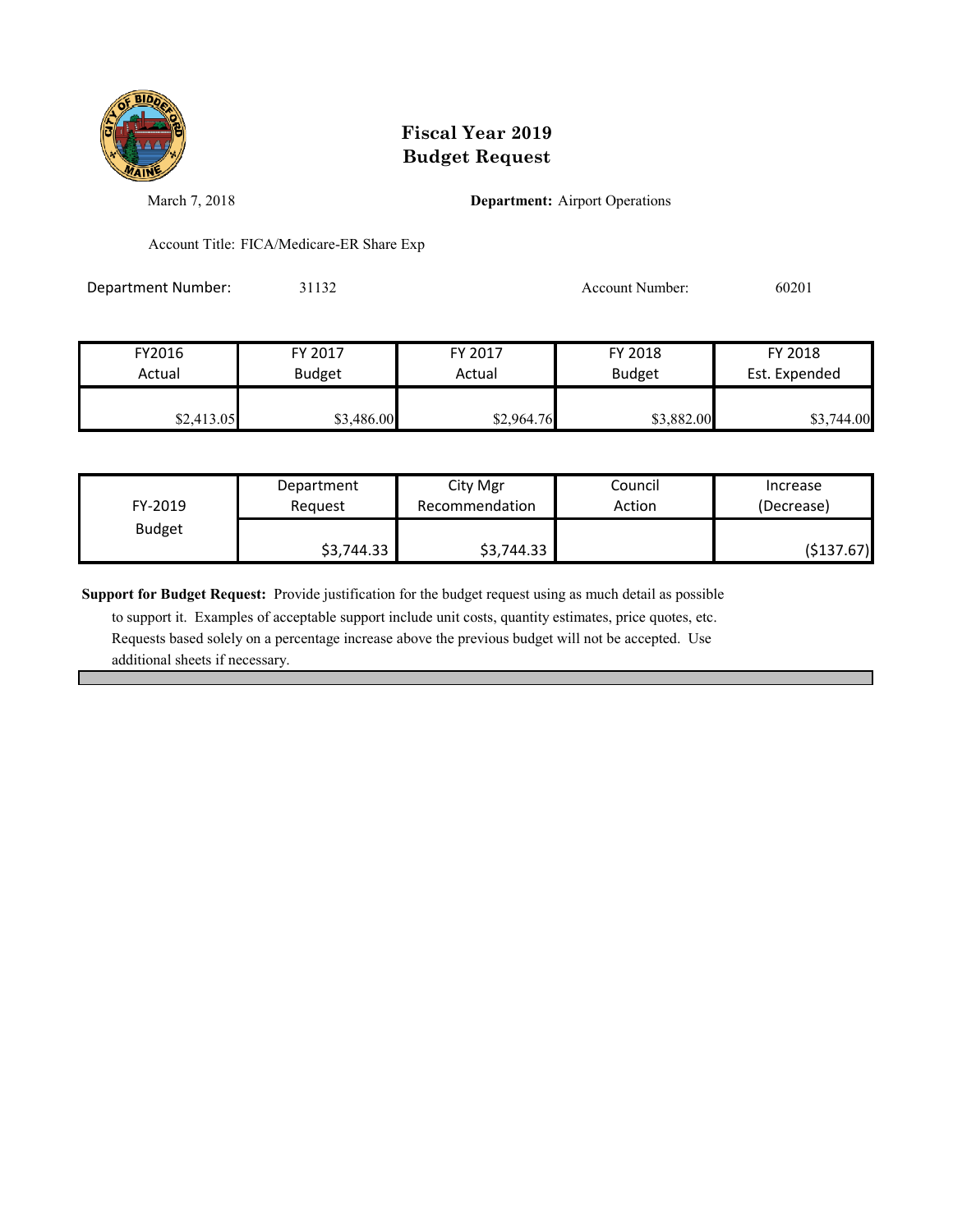

March 7, 2018 **Department:** Airport Operations

Account Title: FICA/Medicare-ER Share Exp

Department Number: 31132 31132 Account Number: 60201

| FY2016     | FY 2017       | FY 2017    | FY 2018       | FY 2018       |
|------------|---------------|------------|---------------|---------------|
| Actual     | <b>Budget</b> | Actual     | <b>Budget</b> | Est. Expended |
| \$2,413.05 | \$3,486.00    | \$2,964.76 | \$3,882.00    | \$3,744.00    |

| FY-2019       | Department | City Mgr       | Council | Increase   |
|---------------|------------|----------------|---------|------------|
|               | Reauest    | Recommendation | Action  | (Decrease) |
| <b>Budget</b> | \$3,744.33 | \$3,744.33     |         | (\$137.67) |

**Support for Budget Request:** Provide justification for the budget request using as much detail as possible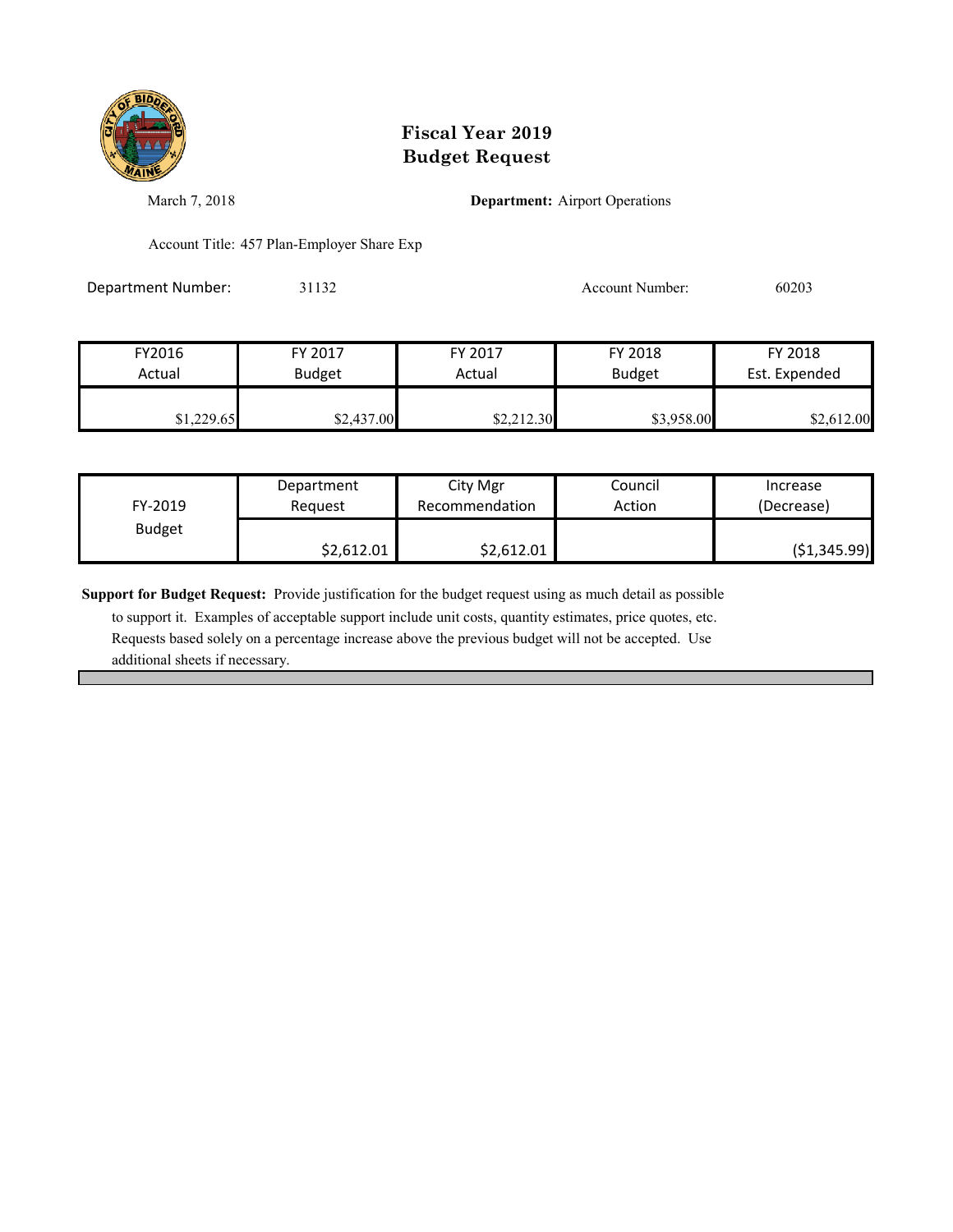

March 7, 2018 **Department:** Airport Operations

Account Title: 457 Plan-Employer Share Exp

Department Number: 31132 31132 Account Number: 60203

| FY2016     | FY 2017       | FY 2017    | FY 2018       | FY 2018       |
|------------|---------------|------------|---------------|---------------|
| Actual     | <b>Budget</b> | Actual     | <b>Budget</b> | Est. Expended |
|            |               |            |               |               |
| \$1,229.65 | \$2,437.00    | \$2,212.30 | \$3,958.00    | \$2,612.00    |

| FY-2019       | Department | City Mgr       | Council | Increase      |
|---------------|------------|----------------|---------|---------------|
|               | Reauest    | Recommendation | Action  | (Decrease)    |
| <b>Budget</b> | \$2,612.01 | \$2,612.01     |         | ( \$1,345.99) |

**Support for Budget Request:** Provide justification for the budget request using as much detail as possible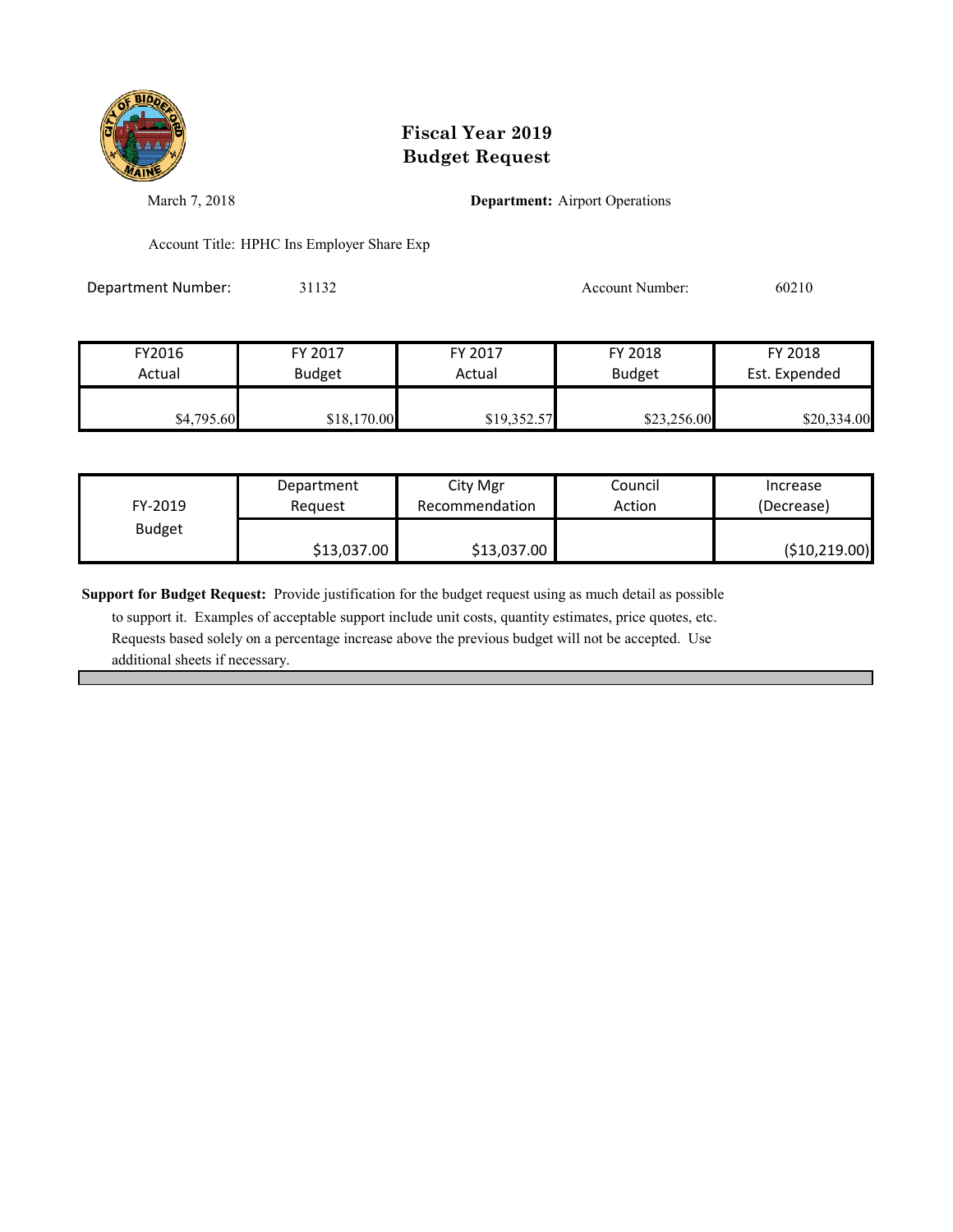

March 7, 2018 **Department:** Airport Operations

Account Title: HPHC Ins Employer Share Exp

Department Number: 31132 31132 Account Number: 60210

| FY2016     | FY 2017       | FY 2017     | FY 2018       | FY 2018       |
|------------|---------------|-------------|---------------|---------------|
| Actual     | <b>Budget</b> | Actual      | <b>Budget</b> | Est. Expended |
|            |               |             |               |               |
| \$4,795.60 | \$18,170.00   | \$19,352.57 | \$23,256.00   | \$20,334.00   |

| FY-2019       | Department  | City Mgr       | Council | Increase        |
|---------------|-------------|----------------|---------|-----------------|
|               | Reauest     | Recommendation | Action  | (Decrease)      |
| <b>Budget</b> | \$13,037.00 | \$13,037.00    |         | ( \$10, 219.00) |

**Support for Budget Request:** Provide justification for the budget request using as much detail as possible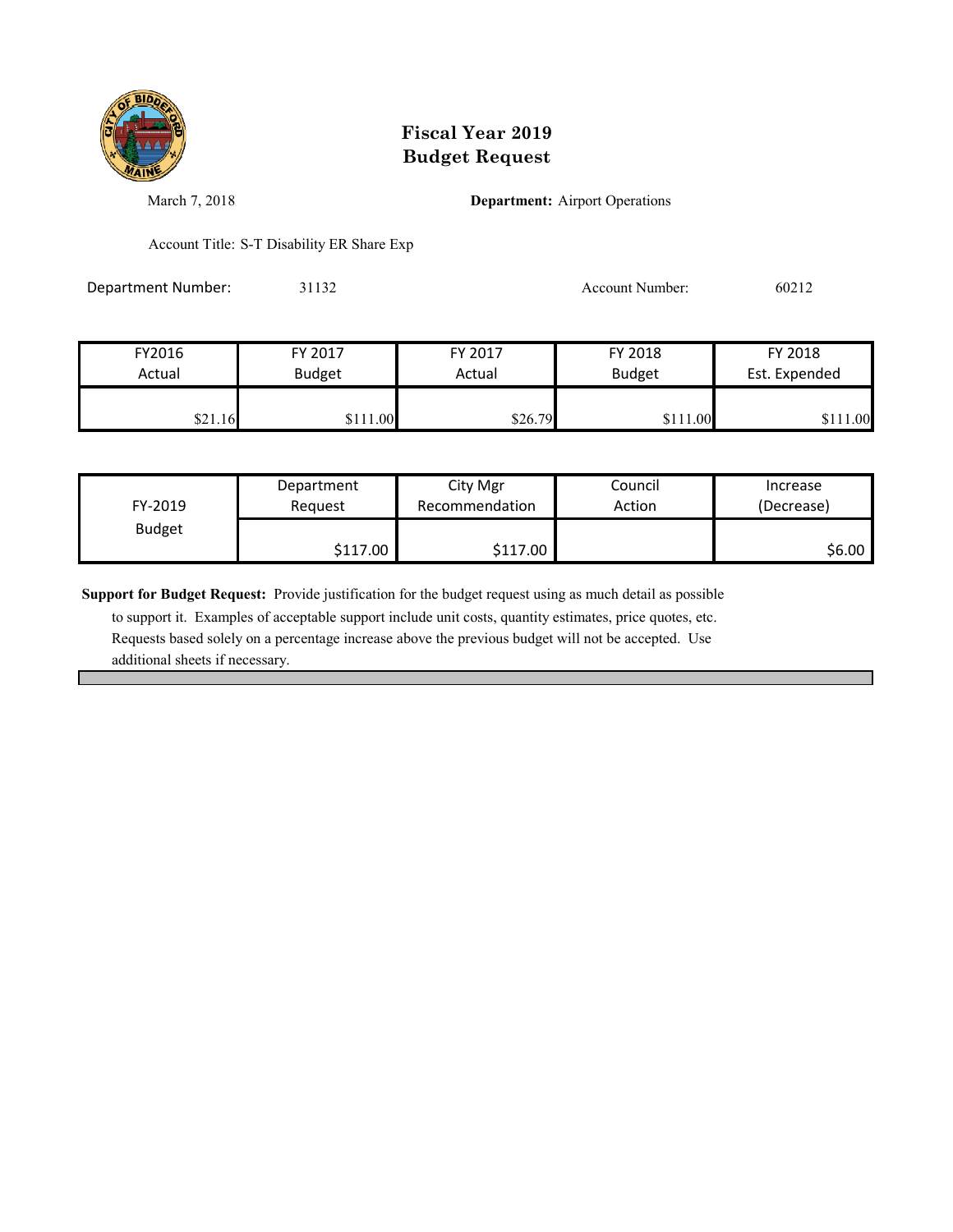

March 7, 2018 **Department:** Airport Operations

Account Title: S-T Disability ER Share Exp

Department Number: 31132 31132 Account Number: 60212

| FY2016  | FY 2017       | FY 2017 | FY 2018       | FY 2018       |
|---------|---------------|---------|---------------|---------------|
| Actual  | <b>Budget</b> | Actual  | <b>Budget</b> | Est. Expended |
|         |               |         |               |               |
| \$21.16 | \$111.00      | \$26.79 | \$111.00      | 11.00         |

| FY-2019       | Department | City Mgr       | Council | Increase   |
|---------------|------------|----------------|---------|------------|
|               | Request    | Recommendation | Action  | (Decrease) |
| <b>Budget</b> | \$117.00   | \$117.00       |         | \$6.00     |

**Support for Budget Request:** Provide justification for the budget request using as much detail as possible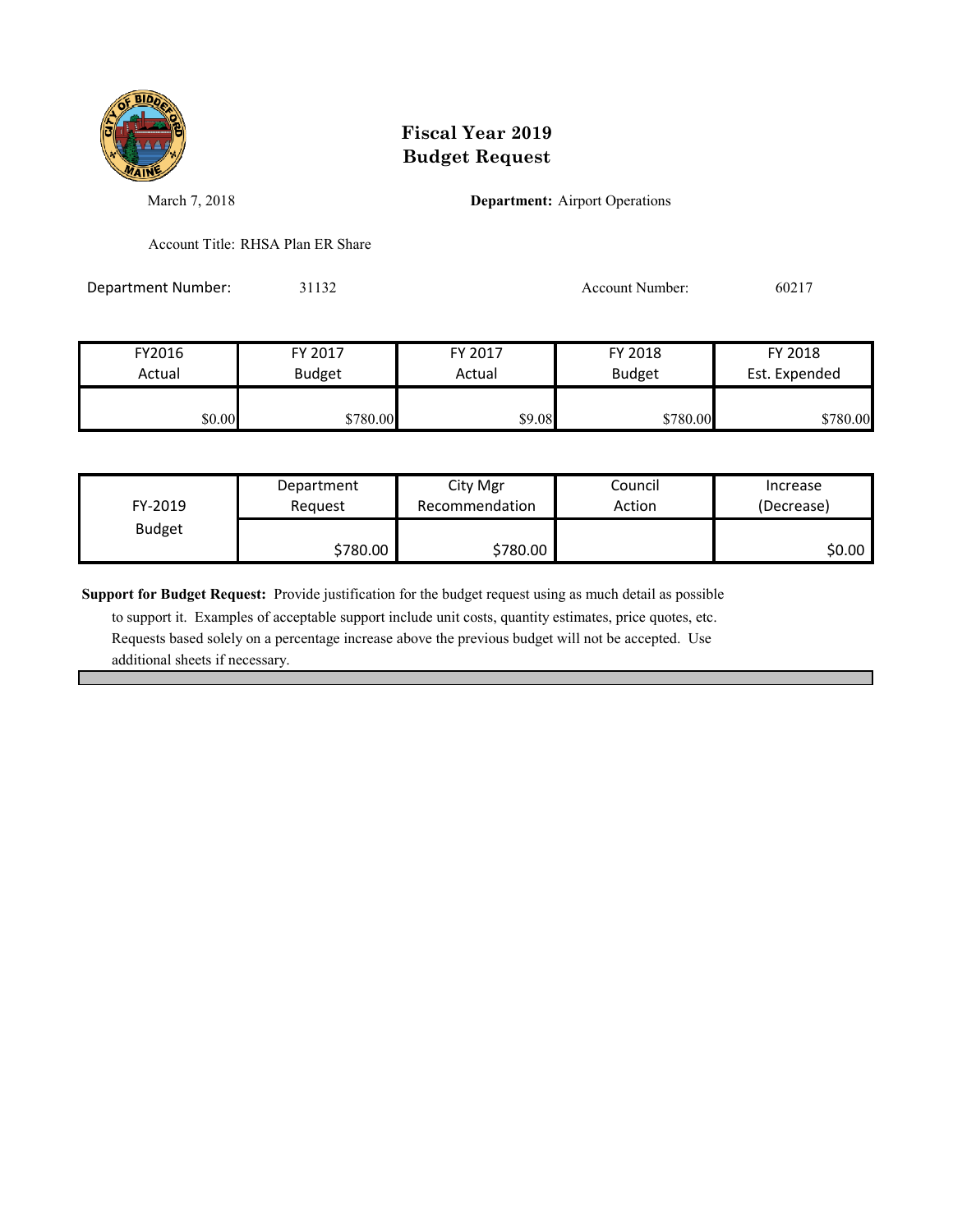

March 7, 2018 **Department:** Airport Operations

Account Title: RHSA Plan ER Share

Department Number: 31132 Account Number: 60217

| FY2016 | FY 2017       | FY 2017 | FY 2018       | FY 2018       |
|--------|---------------|---------|---------------|---------------|
| Actual | <b>Budget</b> | Actual  | <b>Budget</b> | Est. Expended |
| \$0.00 | \$780.00      | \$9.08  | \$780.00      | \$780.00      |

| FY-2019       | Department | City Mgr       | Council | Increase   |
|---------------|------------|----------------|---------|------------|
|               | Request    | Recommendation | Action  | (Decrease) |
| <b>Budget</b> | \$780.00   | \$780.00       |         | \$0.00     |

**Support for Budget Request:** Provide justification for the budget request using as much detail as possible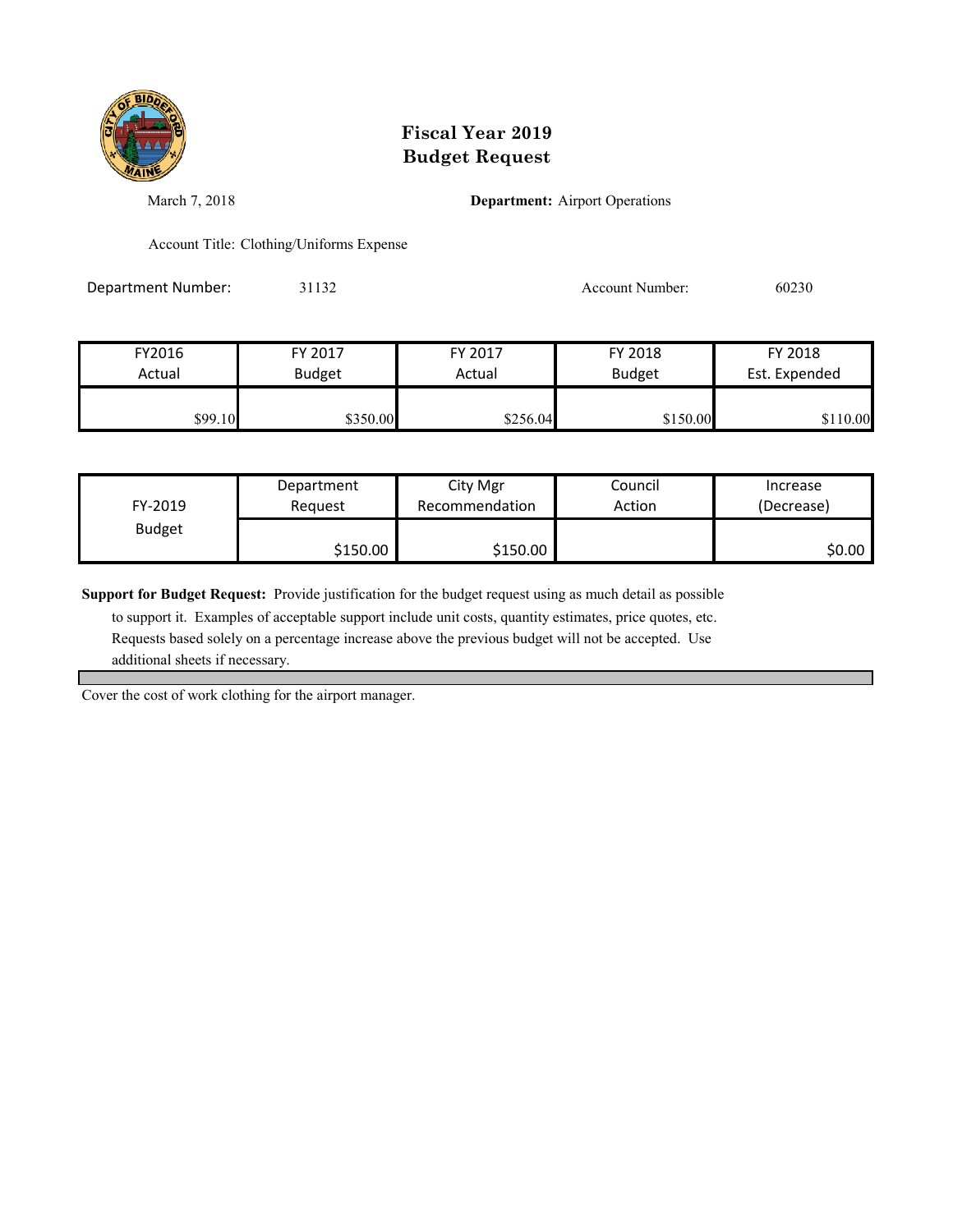

March 7, 2018 **Department:** Airport Operations

Account Title: Clothing/Uniforms Expense

Department Number: 31132 31132 Account Number: 60230

| FY2016  | FY 2017       | FY 2017  | FY 2018       | FY 2018       |
|---------|---------------|----------|---------------|---------------|
| Actual  | <b>Budget</b> | Actual   | <b>Budget</b> | Est. Expended |
|         |               |          |               |               |
| \$99.10 | \$350.00      | \$256.04 | \$150.00      | \$110.00      |

| FY-2019       | Department | City Mgr       | Council | Increase   |
|---------------|------------|----------------|---------|------------|
|               | Request    | Recommendation | Action  | (Decrease) |
| <b>Budget</b> | \$150.00   | \$150.00       |         | \$0.00     |

**Support for Budget Request:** Provide justification for the budget request using as much detail as possible

 to support it. Examples of acceptable support include unit costs, quantity estimates, price quotes, etc. Requests based solely on a percentage increase above the previous budget will not be accepted. Use additional sheets if necessary.

Cover the cost of work clothing for the airport manager.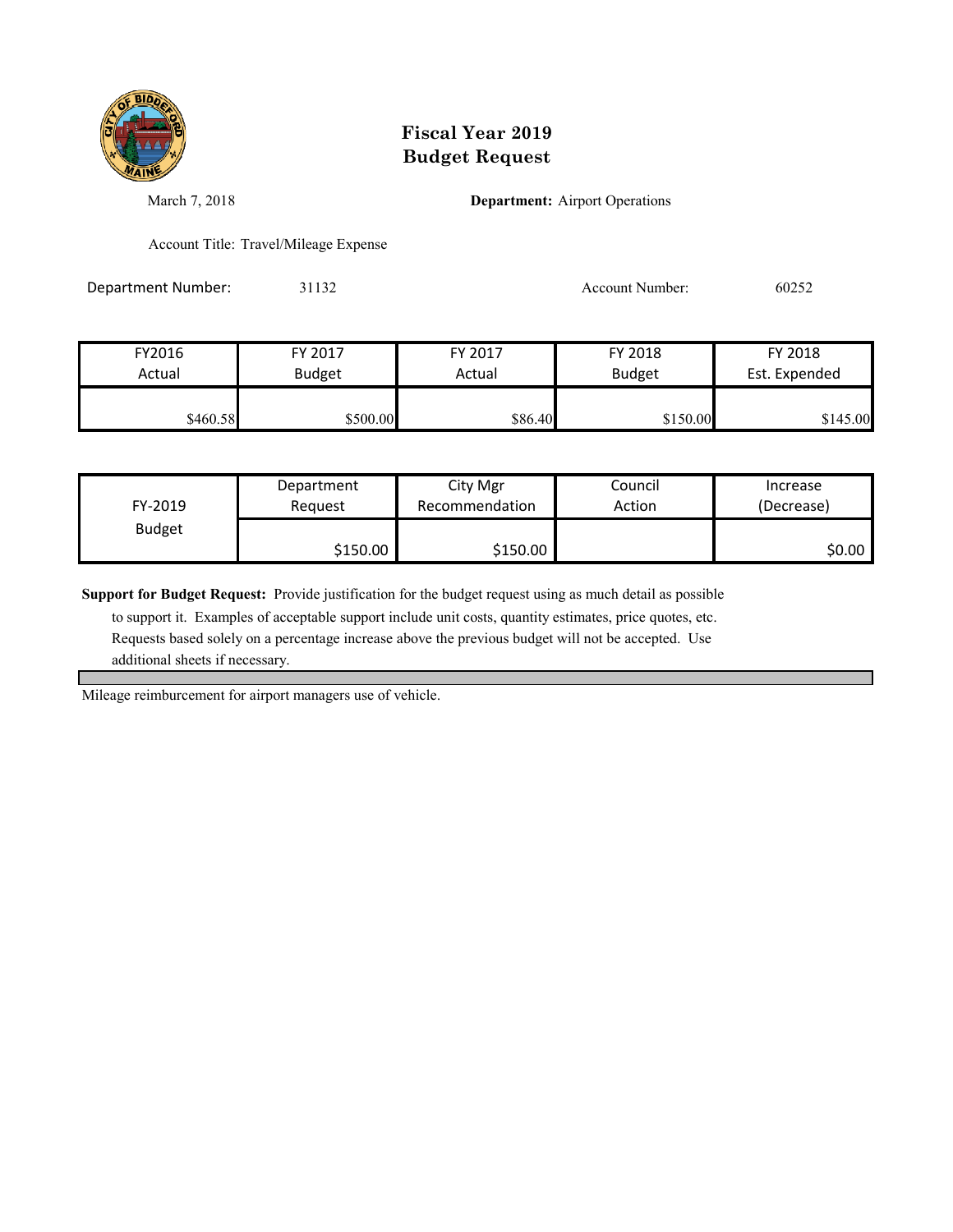

March 7, 2018 **Department:** Airport Operations

Account Title: Travel/Mileage Expense

Department Number: 31132 31132 Account Number: 60252

| FY2016   | FY 2017       | FY 2017 | FY 2018       | FY 2018       |
|----------|---------------|---------|---------------|---------------|
| Actual   | <b>Budget</b> | Actual  | <b>Budget</b> | Est. Expended |
|          |               |         |               |               |
| \$460.58 | \$500.00      | \$86.40 | \$150.00      | \$145.00      |

| FY-2019       | Department | City Mgr       | Council | Increase   |
|---------------|------------|----------------|---------|------------|
|               | Reauest    | Recommendation | Action  | (Decrease) |
| <b>Budget</b> | \$150.00   | \$150.00       |         | \$0.00     |

**Support for Budget Request:** Provide justification for the budget request using as much detail as possible

 to support it. Examples of acceptable support include unit costs, quantity estimates, price quotes, etc. Requests based solely on a percentage increase above the previous budget will not be accepted. Use additional sheets if necessary.

Mileage reimburcement for airport managers use of vehicle.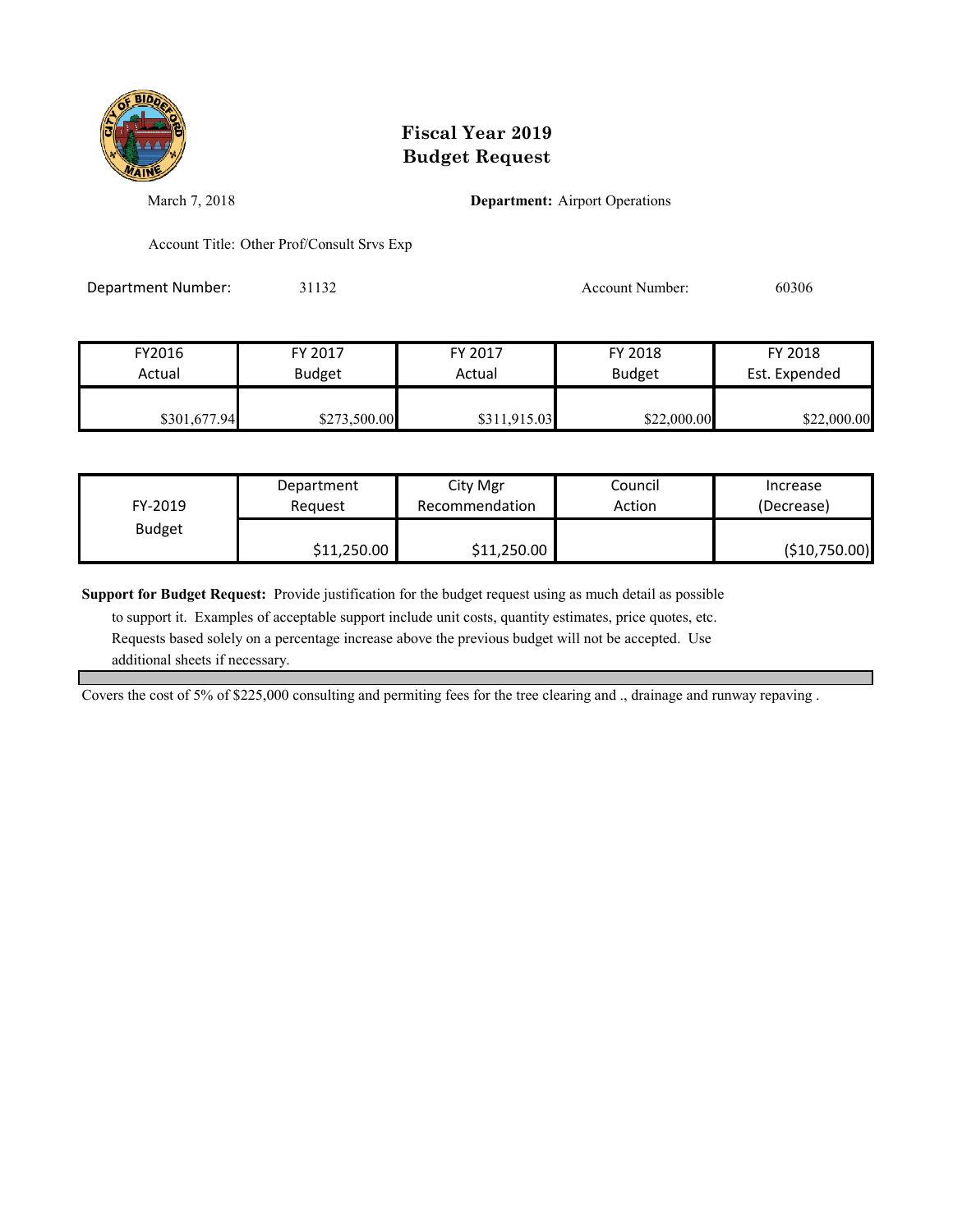

March 7, 2018 **Department:** Airport Operations

Account Title: Other Prof/Consult Srvs Exp

Department Number: 31132 Account Number: 60306

FY2016 FY 2017 FY 2017 FY 2018 FY 2018 Actual Budget **Actual Budget** Actual Budget Est. Expended  $$301,677.94$   $$273,500.00$   $$311,915.03$   $$22,000.00$   $$22,000.00$ 

| FY-2019       | Department  | City Mgr       | Council | Increase      |
|---------------|-------------|----------------|---------|---------------|
|               | Reauest     | Recommendation | Action  | (Decrease)    |
| <b>Budget</b> | \$11,250.00 | \$11,250.00    |         | (\$10,750.00) |

**Support for Budget Request:** Provide justification for the budget request using as much detail as possible

 to support it. Examples of acceptable support include unit costs, quantity estimates, price quotes, etc. Requests based solely on a percentage increase above the previous budget will not be accepted. Use additional sheets if necessary.

Covers the cost of 5% of \$225,000 consulting and permiting fees for the tree clearing and ., drainage and runway repaving .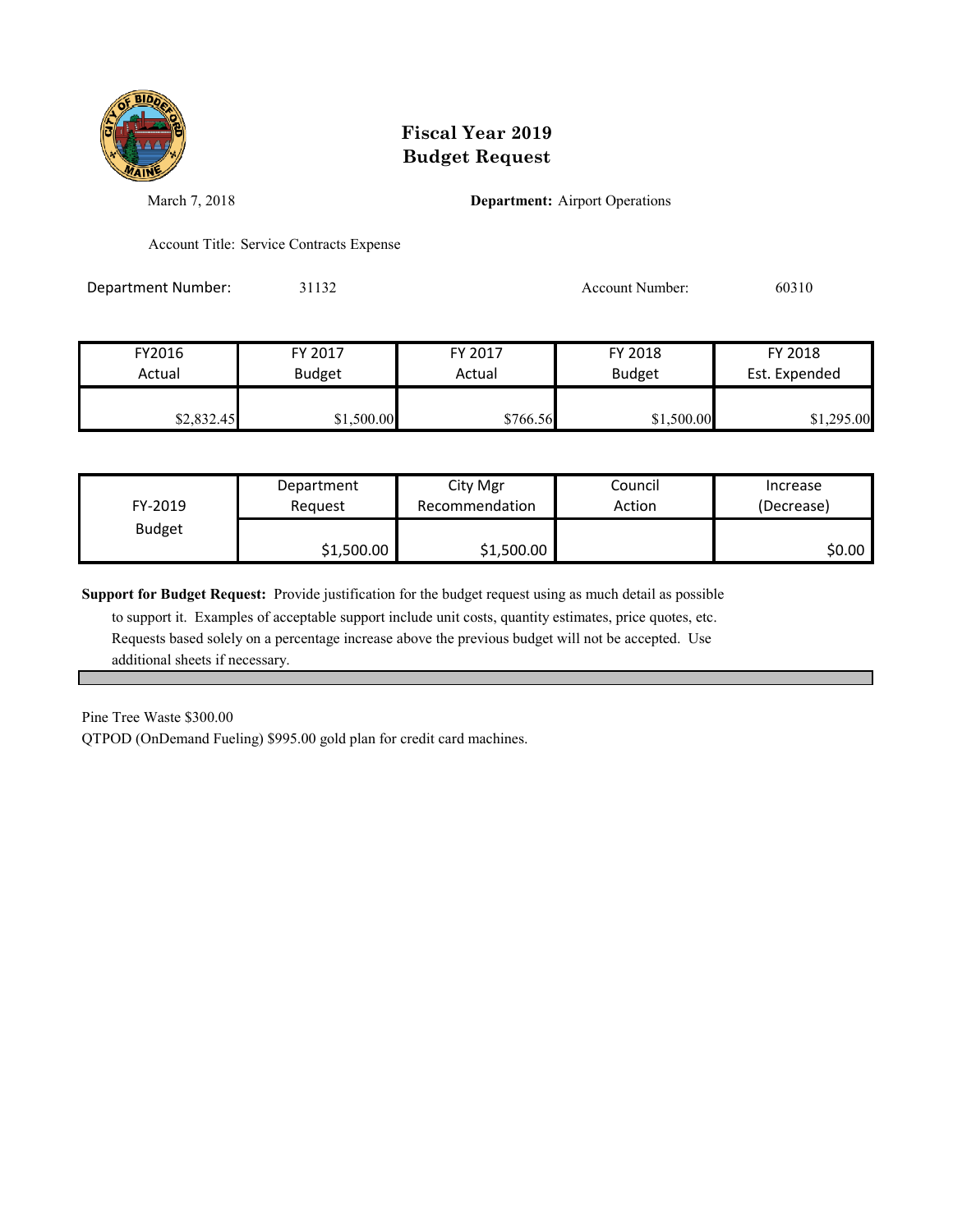

March 7, 2018 **Department:** Airport Operations

Account Title: Service Contracts Expense

Department Number: 31132 Account Number: 60310

| FY2016     | FY 2017       | FY 2017  | FY 2018       | FY 2018       |
|------------|---------------|----------|---------------|---------------|
| Actual     | <b>Budget</b> | Actual   | <b>Budget</b> | Est. Expended |
| \$2,832.45 | \$1,500.00    | \$766.56 | \$1,500.00    | \$1,295.00    |

| FY-2019       | Department | City Mgr       | Council | Increase   |
|---------------|------------|----------------|---------|------------|
|               | Request    | Recommendation | Action  | (Decrease) |
| <b>Budget</b> | \$1,500.00 | \$1,500.00     |         | \$0.00     |

**Support for Budget Request:** Provide justification for the budget request using as much detail as possible

 to support it. Examples of acceptable support include unit costs, quantity estimates, price quotes, etc. Requests based solely on a percentage increase above the previous budget will not be accepted. Use additional sheets if necessary.

Pine Tree Waste \$300.00

QTPOD (OnDemand Fueling) \$995.00 gold plan for credit card machines.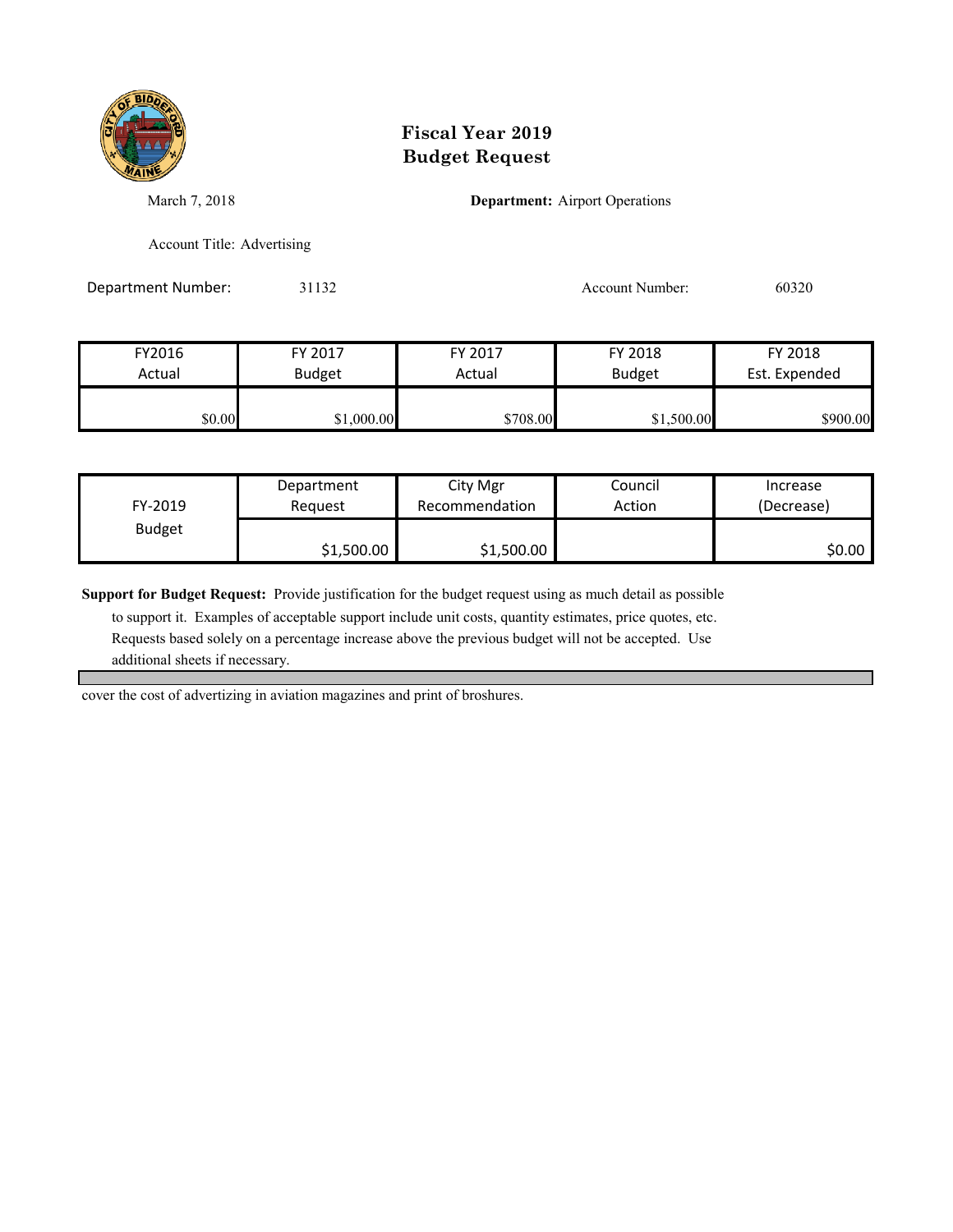

March 7, 2018 **Department:** Airport Operations

Account Title: Advertising

Department Number: 31132 Account Number: 60320

| FY2016 | FY 2017       | FY 2017  | FY 2018       | FY 2018       |
|--------|---------------|----------|---------------|---------------|
| Actual | <b>Budget</b> | Actual   | <b>Budget</b> | Est. Expended |
|        |               |          |               |               |
| \$0.00 | \$1,000.00    | \$708.00 | \$1,500.00    | \$900.00      |

| FY-2019       | Department | City Mgr       | Council | Increase   |
|---------------|------------|----------------|---------|------------|
|               | Reauest    | Recommendation | Action  | (Decrease) |
| <b>Budget</b> | \$1,500.00 | \$1,500.00     |         | \$0.00     |

**Support for Budget Request:** Provide justification for the budget request using as much detail as possible

 to support it. Examples of acceptable support include unit costs, quantity estimates, price quotes, etc. Requests based solely on a percentage increase above the previous budget will not be accepted. Use additional sheets if necessary.

cover the cost of advertizing in aviation magazines and print of broshures.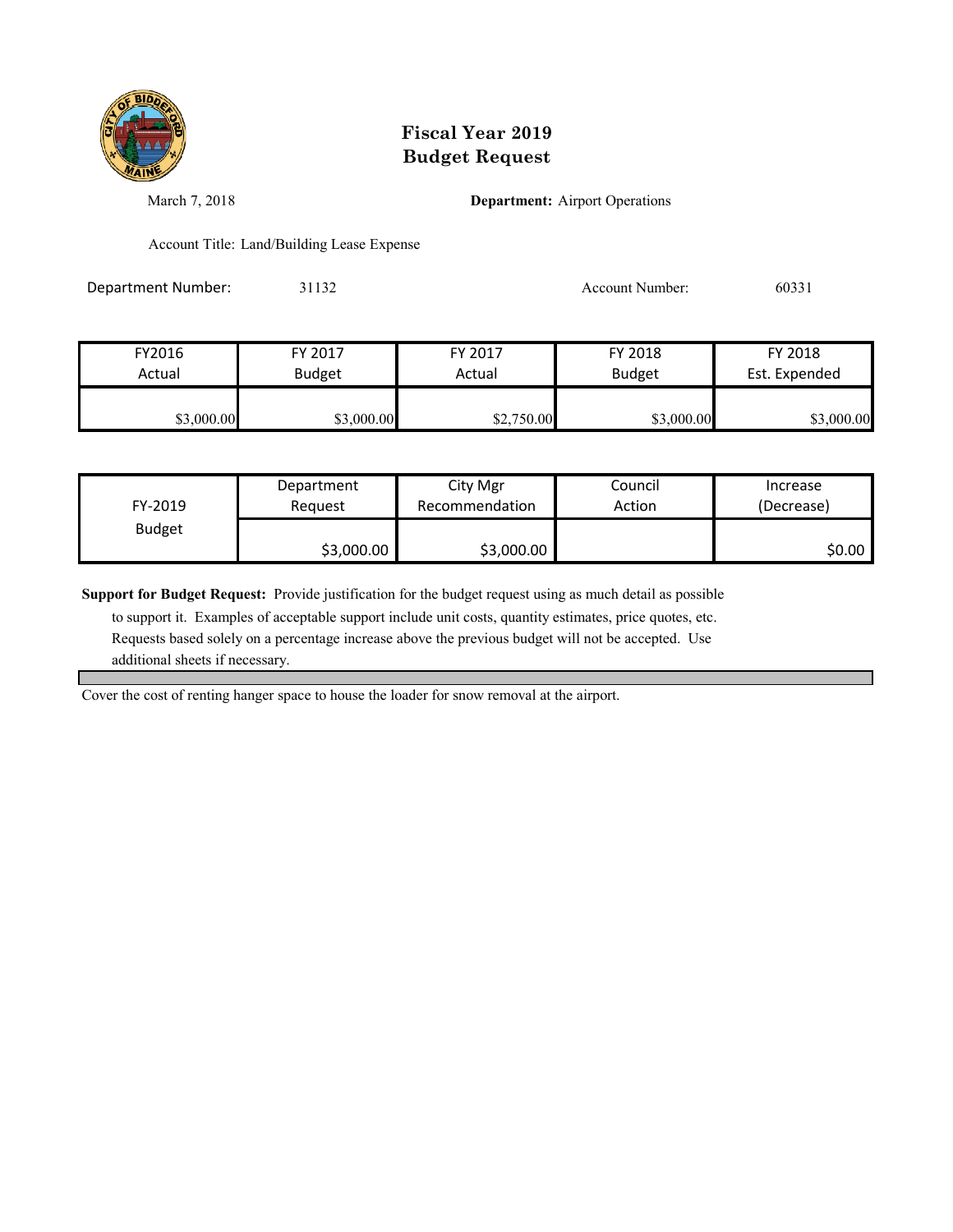

March 7, 2018 **Department:** Airport Operations

Account Title: Land/Building Lease Expense

Department Number: 31132 31132 Account Number: 60331

| FY2016     | FY 2017       | FY 2017    | FY 2018       | FY 2018       |
|------------|---------------|------------|---------------|---------------|
| Actual     | <b>Budget</b> | Actual     | <b>Budget</b> | Est. Expended |
| \$3,000.00 | \$3,000.00    | \$2,750.00 | \$3,000.00    | \$3,000.00    |

| FY-2019       | Department | City Mgr       | Council | Increase   |
|---------------|------------|----------------|---------|------------|
|               | Reauest    | Recommendation | Action  | (Decrease) |
| <b>Budget</b> | \$3,000.00 | \$3,000.00     |         | \$0.00     |

**Support for Budget Request:** Provide justification for the budget request using as much detail as possible

 to support it. Examples of acceptable support include unit costs, quantity estimates, price quotes, etc. Requests based solely on a percentage increase above the previous budget will not be accepted. Use additional sheets if necessary.

Cover the cost of renting hanger space to house the loader for snow removal at the airport.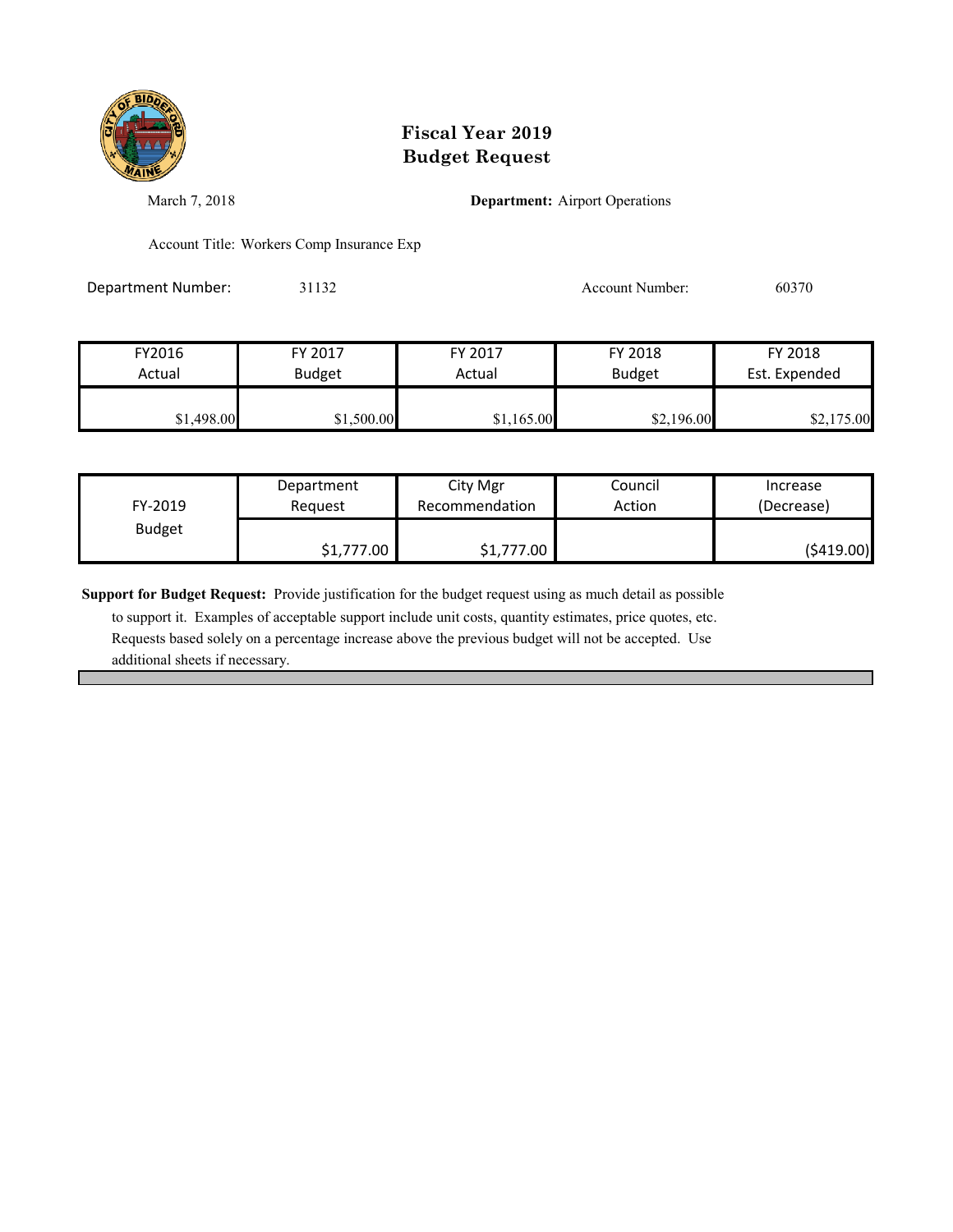

March 7, 2018 **Department:** Airport Operations

Account Title: Workers Comp Insurance Exp

Department Number: 31132 31132 Account Number: 60370

| FY2016     | FY 2017       | FY 2017    | FY 2018       | FY 2018       |
|------------|---------------|------------|---------------|---------------|
| Actual     | <b>Budget</b> | Actual     | <b>Budget</b> | Est. Expended |
|            |               |            |               |               |
| \$1,498.00 | \$1,500.00    | \$1,165.00 | \$2,196.00    | \$2,175.00    |

| FY-2019       | Department | City Mgr       | Council | Increase    |
|---------------|------------|----------------|---------|-------------|
|               | Request    | Recommendation | Action  | (Decrease)  |
| <b>Budget</b> | \$1,777.00 | \$1,777.00     |         | ( \$419.00) |

**Support for Budget Request:** Provide justification for the budget request using as much detail as possible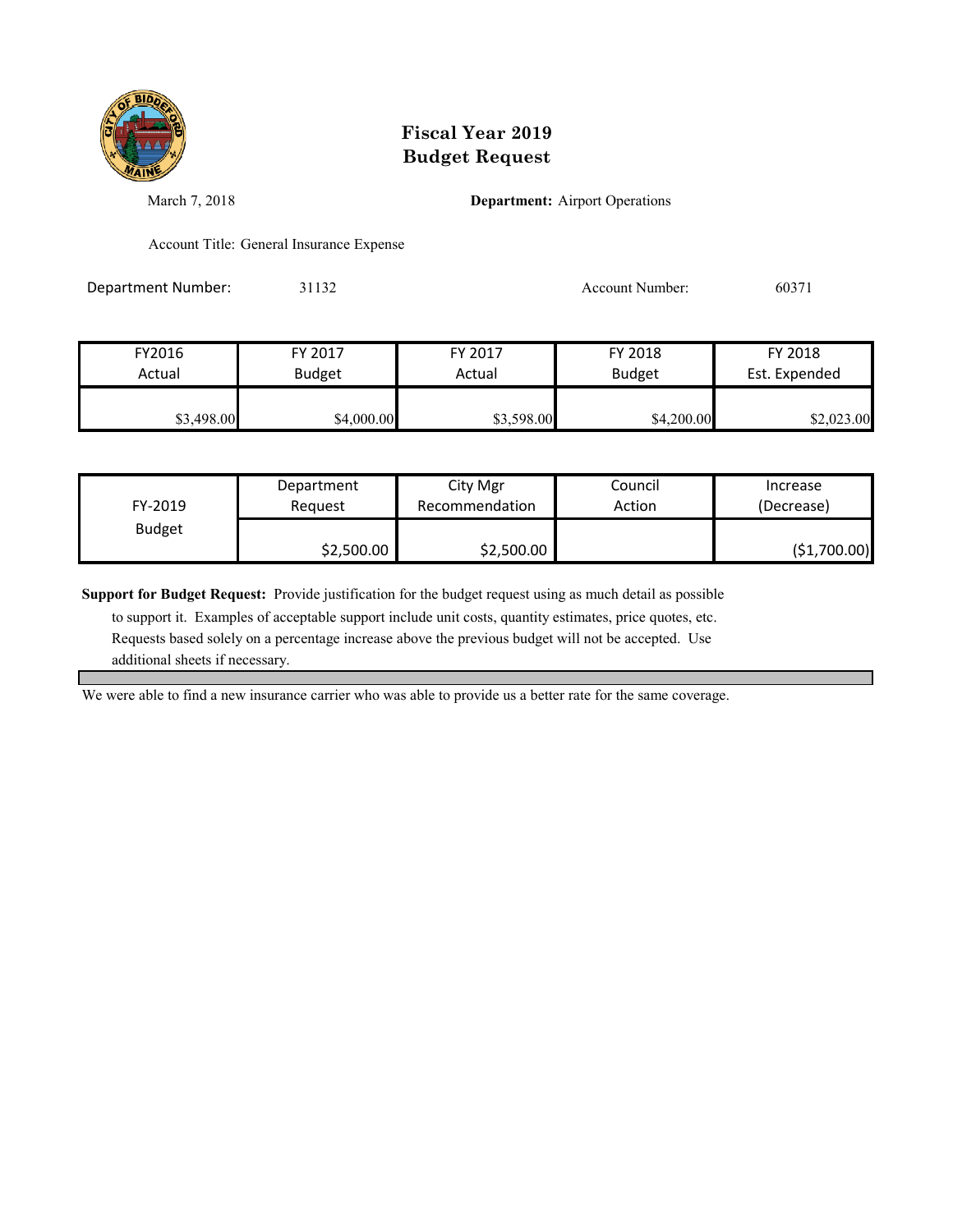

March 7, 2018 **Department:** Airport Operations

Account Title: General Insurance Expense

Department Number: 31132 Account Number: 60371

| FY2016     | FY 2017       | FY 2017    | FY 2018       | FY 2018       |
|------------|---------------|------------|---------------|---------------|
| Actual     | <b>Budget</b> | Actual     | <b>Budget</b> | Est. Expended |
|            |               |            |               |               |
| \$3,498.00 | \$4,000.00    | \$3,598.00 | \$4,200.00    | \$2,023.00    |

| FY-2019       | Department | City Mgr       | Council | Increase     |
|---------------|------------|----------------|---------|--------------|
|               | Reauest    | Recommendation | Action  | (Decrease)   |
| <b>Budget</b> | \$2,500.00 | \$2,500.00     |         | (\$1,700.00) |

**Support for Budget Request:** Provide justification for the budget request using as much detail as possible

 to support it. Examples of acceptable support include unit costs, quantity estimates, price quotes, etc. Requests based solely on a percentage increase above the previous budget will not be accepted. Use additional sheets if necessary.

We were able to find a new insurance carrier who was able to provide us a better rate for the same coverage.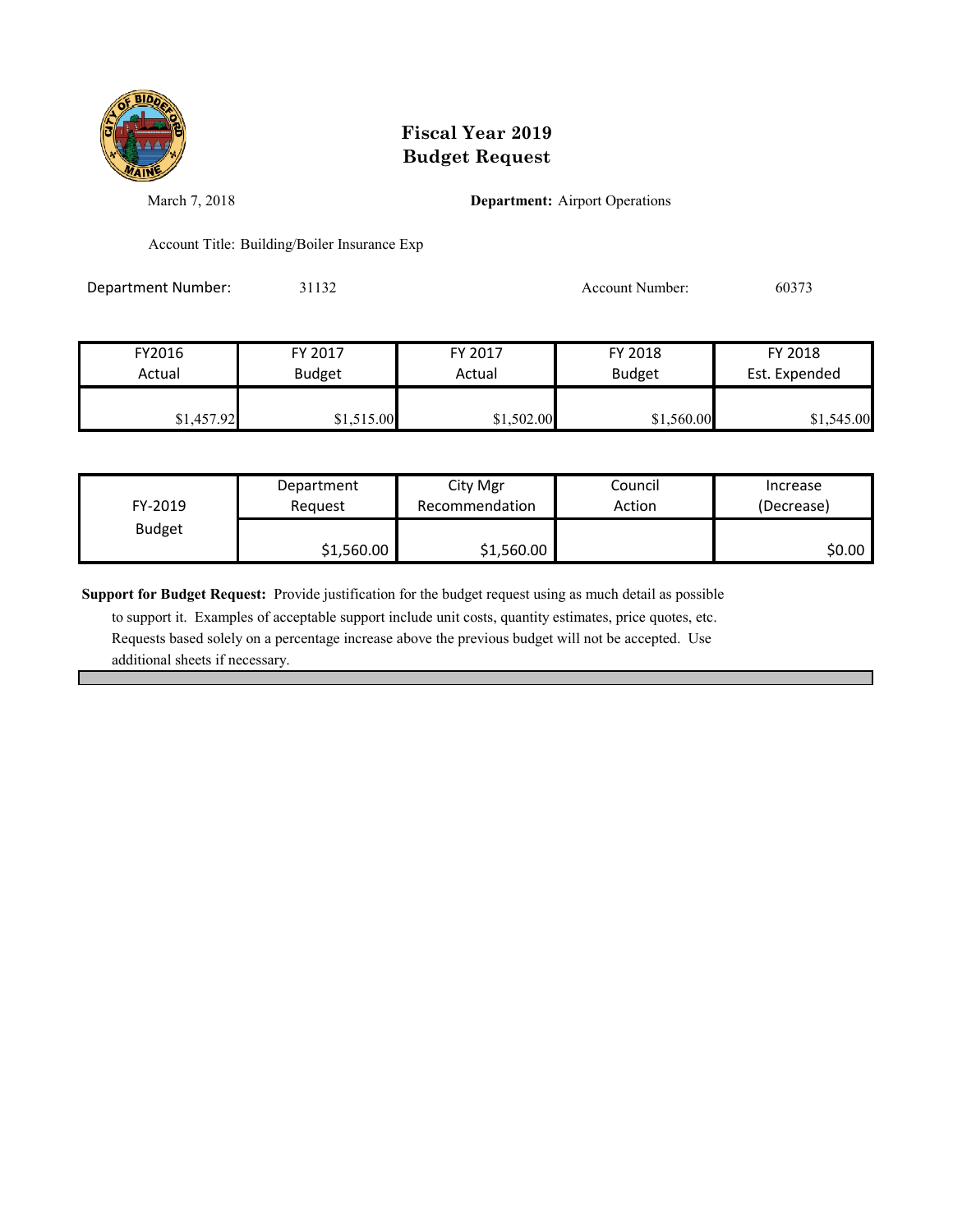

March 7, 2018 **Department:** Airport Operations

Account Title: Building/Boiler Insurance Exp

Department Number: 31132 31132 Account Number: 60373

| FY2016     | FY 2017       | FY 2017    | FY 2018       | FY 2018       |
|------------|---------------|------------|---------------|---------------|
| Actual     | <b>Budget</b> | Actual     | <b>Budget</b> | Est. Expended |
| \$1,457.92 | \$1,515.00    | \$1,502.00 | \$1,560.00    | \$1,545.00    |

| FY-2019       | Department | City Mgr       | Council | Increase   |
|---------------|------------|----------------|---------|------------|
|               | Request    | Recommendation | Action  | (Decrease) |
| <b>Budget</b> | \$1,560.00 | \$1,560.00     |         | \$0.00     |

**Support for Budget Request:** Provide justification for the budget request using as much detail as possible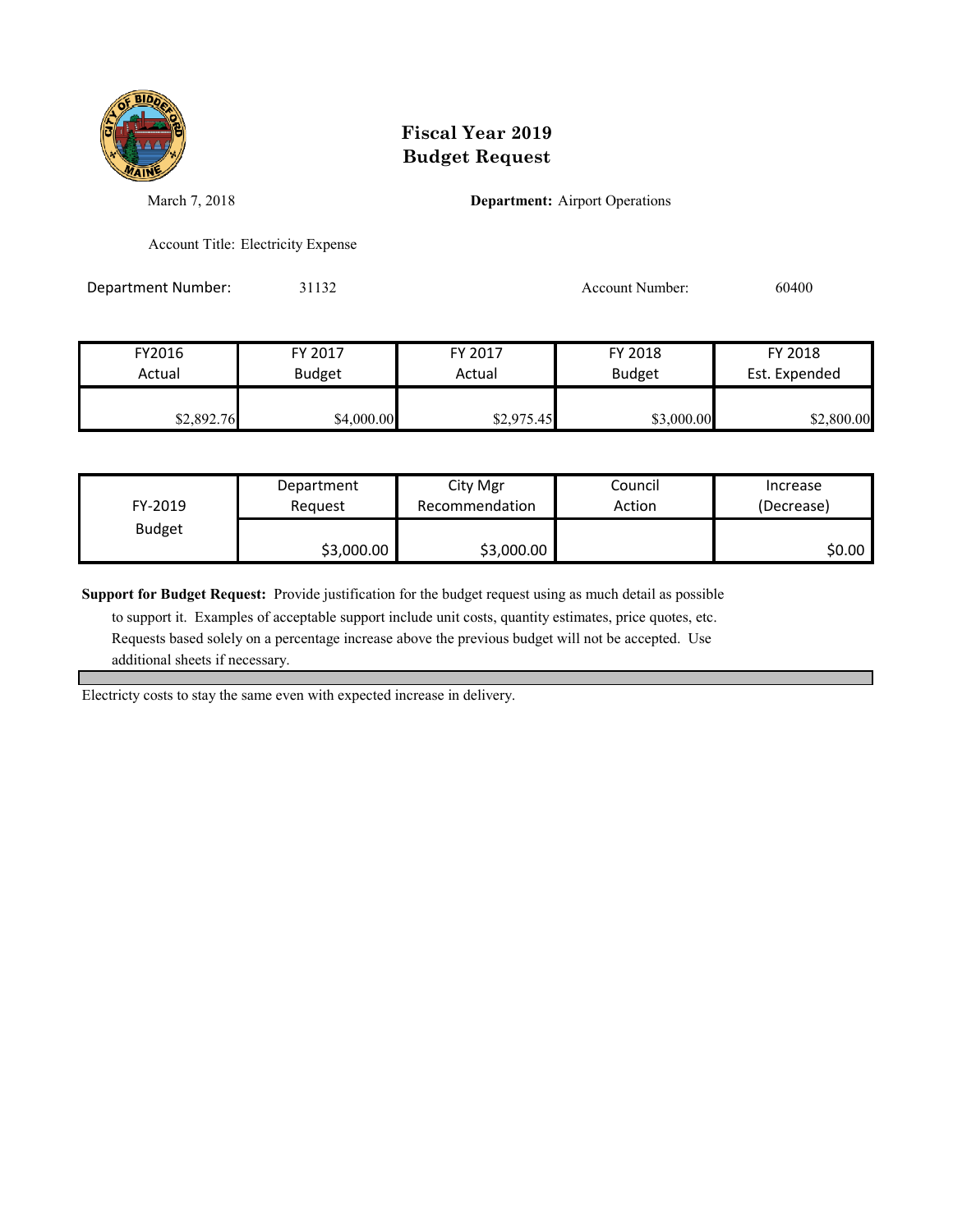

March 7, 2018 **Department:** Airport Operations

Account Title: Electricity Expense

Department Number: 31132 31132 Account Number: 60400

| FY2016     | FY 2017       | FY 2017    | FY 2018       | FY 2018       |
|------------|---------------|------------|---------------|---------------|
| Actual     | <b>Budget</b> | Actual     | <b>Budget</b> | Est. Expended |
| \$2,892.76 | \$4,000.00    | \$2,975.45 | \$3,000.00    | \$2,800.00    |

| FY-2019       | Department | City Mgr       | Council | Increase   |
|---------------|------------|----------------|---------|------------|
|               | Reauest    | Recommendation | Action  | (Decrease) |
| <b>Budget</b> | \$3,000.00 | \$3,000.00     |         | \$0.00     |

**Support for Budget Request:** Provide justification for the budget request using as much detail as possible

 to support it. Examples of acceptable support include unit costs, quantity estimates, price quotes, etc. Requests based solely on a percentage increase above the previous budget will not be accepted. Use additional sheets if necessary.

Electricty costs to stay the same even with expected increase in delivery.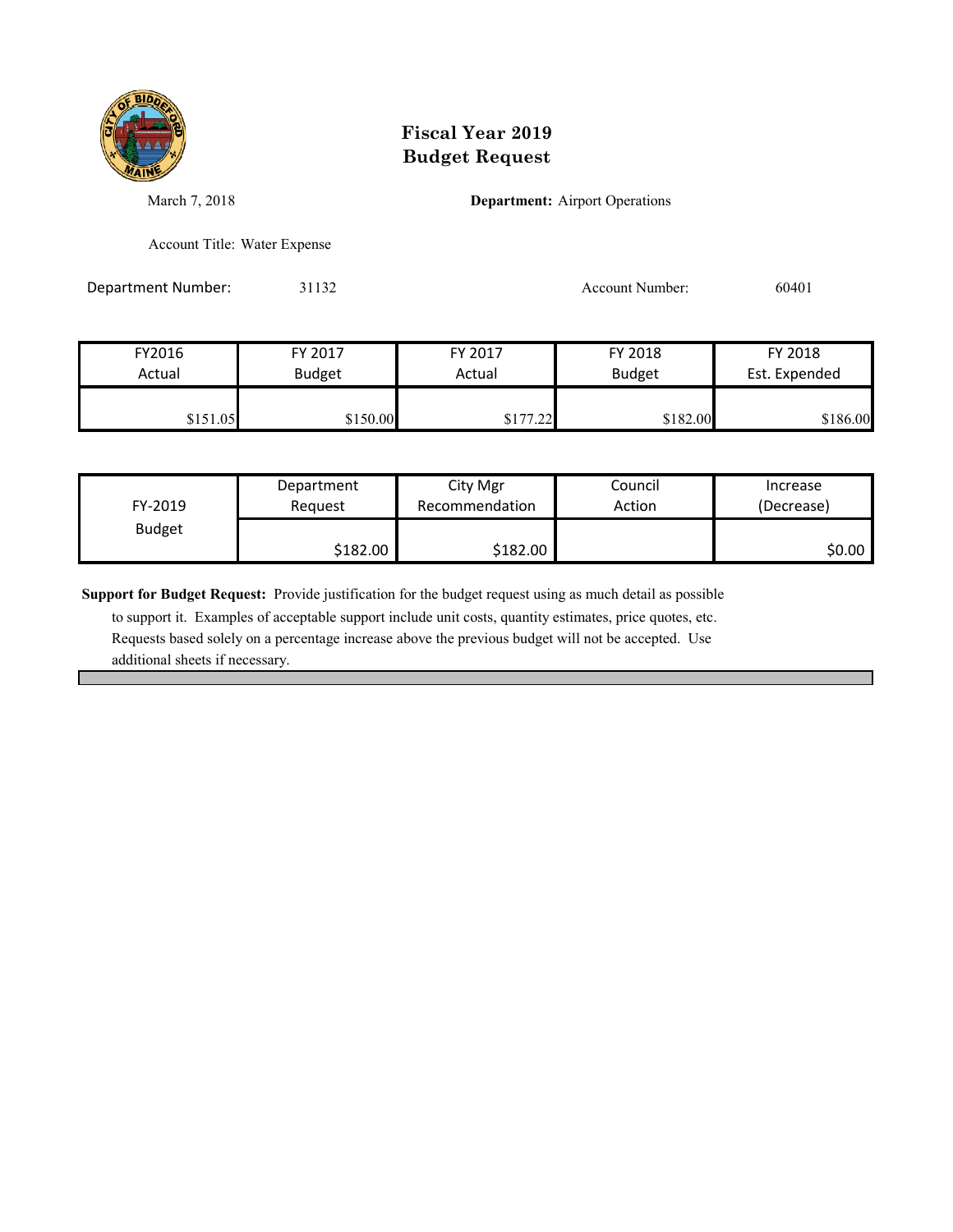

March 7, 2018 **Department:** Airport Operations

Account Title: Water Expense

Department Number: 31132 31132 Account Number: 60401

| FY2016   | FY 2017       | FY 2017  | FY 2018       | FY 2018       |
|----------|---------------|----------|---------------|---------------|
| Actual   | <b>Budget</b> | Actual   | <b>Budget</b> | Est. Expended |
|          |               |          |               |               |
| \$151.05 | \$150.00      | \$177.22 | \$182.00      | \$186.00      |

| FY-2019       | Department | City Mgr       | Council | Increase   |
|---------------|------------|----------------|---------|------------|
|               | Reauest    | Recommendation | Action  | (Decrease) |
| <b>Budget</b> | \$182.00   | \$182.00       |         | \$0.00     |

**Support for Budget Request:** Provide justification for the budget request using as much detail as possible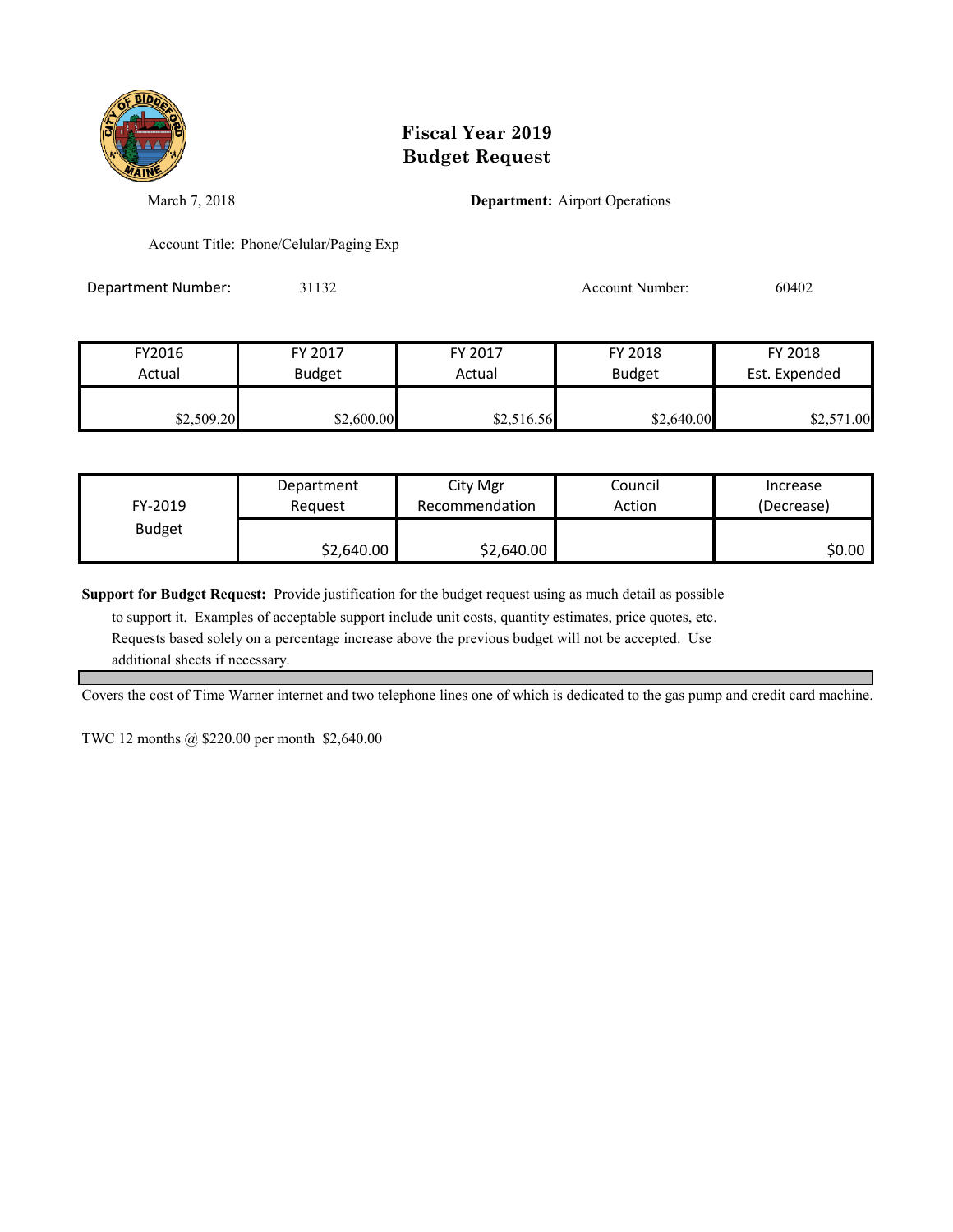

March 7, 2018 **Department:** Airport Operations

Account Title: Phone/Celular/Paging Exp

Department Number: 31132 Account Number: 60402

| FY2016     | FY 2017       | FY 2017    | FY 2018       | FY 2018       |
|------------|---------------|------------|---------------|---------------|
| Actual     | <b>Budget</b> | Actual     | <b>Budget</b> | Est. Expended |
| \$2,509.20 | \$2,600.00    | \$2,516.56 | \$2,640.00    | \$2,571.00    |

| FY-2019       | Department | City Mgr       | Council | Increase   |
|---------------|------------|----------------|---------|------------|
|               | Reauest    | Recommendation | Action  | (Decrease) |
| <b>Budget</b> | \$2,640.00 | \$2,640.00     |         | \$0.00     |

**Support for Budget Request:** Provide justification for the budget request using as much detail as possible

 to support it. Examples of acceptable support include unit costs, quantity estimates, price quotes, etc. Requests based solely on a percentage increase above the previous budget will not be accepted. Use additional sheets if necessary.

Covers the cost of Time Warner internet and two telephone lines one of which is dedicated to the gas pump and credit card machine.

TWC 12 months @ \$220.00 per month \$2,640.00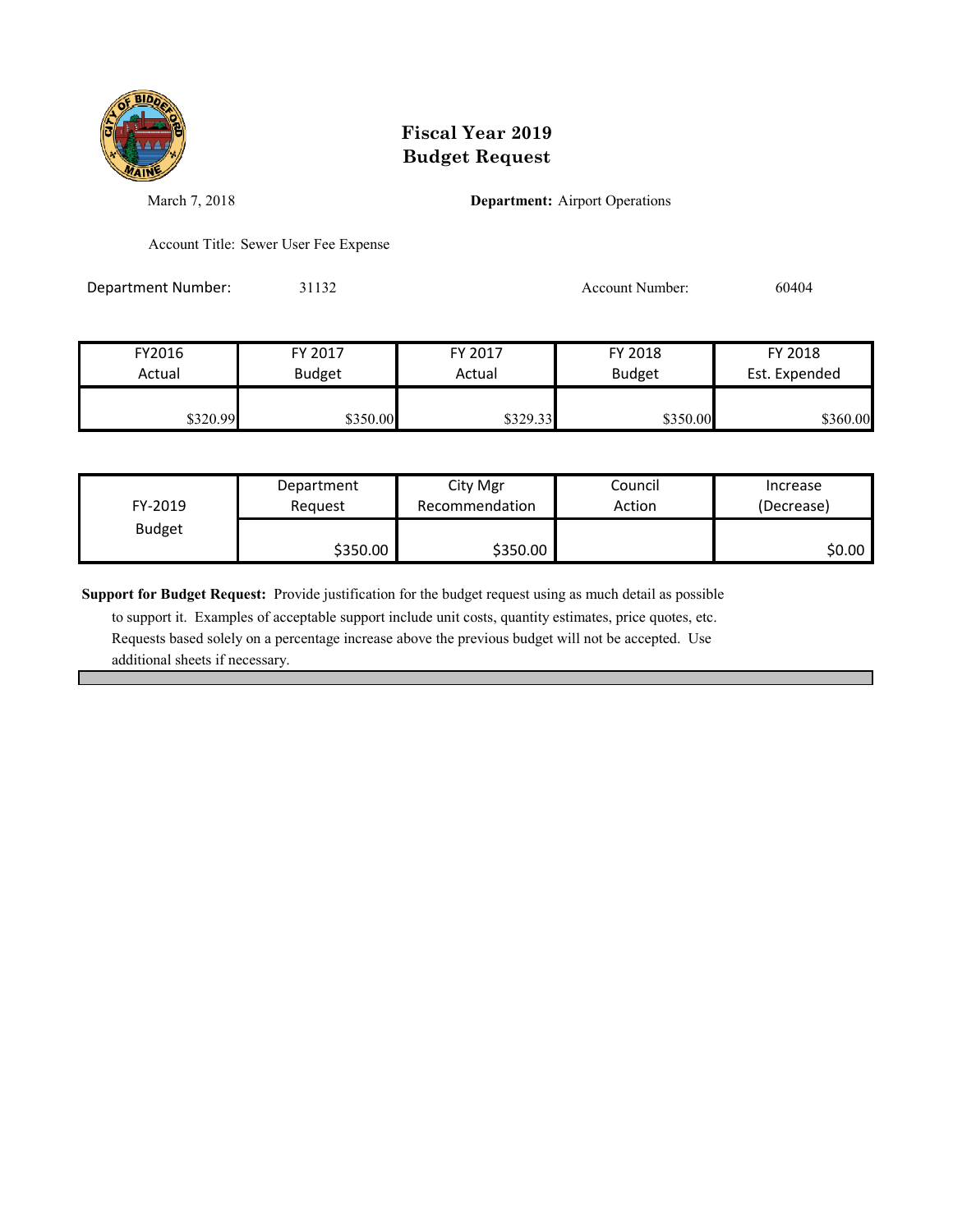

March 7, 2018 **Department:** Airport Operations

Account Title: Sewer User Fee Expense

Department Number: 31132 31132 Account Number: 60404

| FY2016   | FY 2017       | FY 2017  | FY 2018       | FY 2018       |
|----------|---------------|----------|---------------|---------------|
| Actual   | <b>Budget</b> | Actual   | <b>Budget</b> | Est. Expended |
|          |               |          |               |               |
| \$320.99 | \$350.00      | \$329.33 | \$350.00      | \$360.00      |

| FY-2019       | Department | City Mgr       | Council | Increase   |
|---------------|------------|----------------|---------|------------|
|               | Reauest    | Recommendation | Action  | (Decrease) |
| <b>Budget</b> | \$350.00   | \$350.00       |         | \$0.00∣    |

**Support for Budget Request:** Provide justification for the budget request using as much detail as possible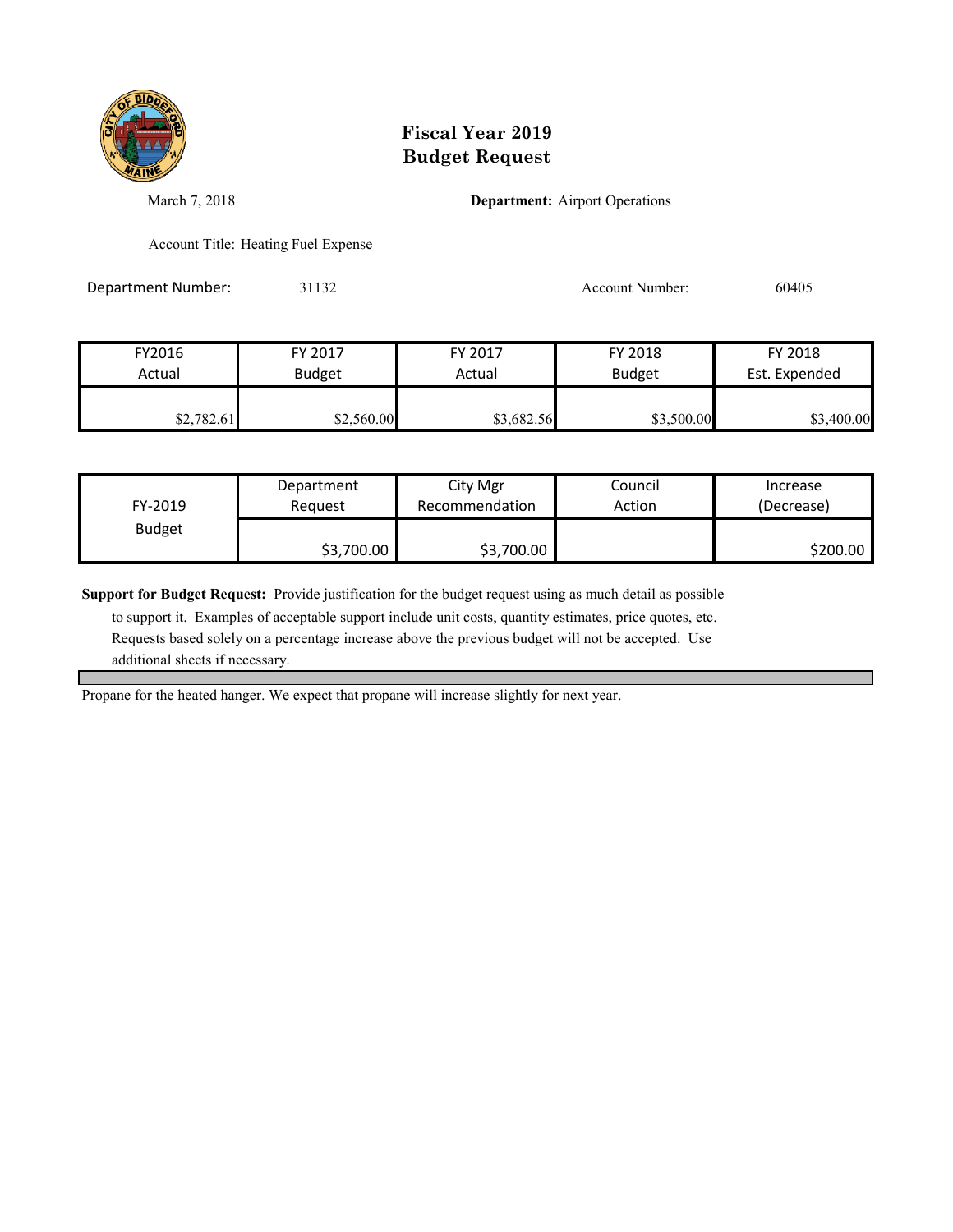

March 7, 2018 **Department:** Airport Operations

Account Title: Heating Fuel Expense

Department Number: 31132 31132 Account Number: 60405

| FY2016     | FY 2017       | FY 2017    | FY 2018       | FY 2018       |
|------------|---------------|------------|---------------|---------------|
| Actual     | <b>Budget</b> | Actual     | <b>Budget</b> | Est. Expended |
| \$2,782.61 | \$2,560.00    | \$3,682.56 | \$3,500.00    | \$3,400.00    |

| FY-2019       | Department | City Mgr       | Council | Increase   |
|---------------|------------|----------------|---------|------------|
|               | Reauest    | Recommendation | Action  | (Decrease) |
| <b>Budget</b> | \$3,700.00 | \$3,700.00     |         | \$200.00   |

**Support for Budget Request:** Provide justification for the budget request using as much detail as possible

 to support it. Examples of acceptable support include unit costs, quantity estimates, price quotes, etc. Requests based solely on a percentage increase above the previous budget will not be accepted. Use additional sheets if necessary.

Propane for the heated hanger. We expect that propane will increase slightly for next year.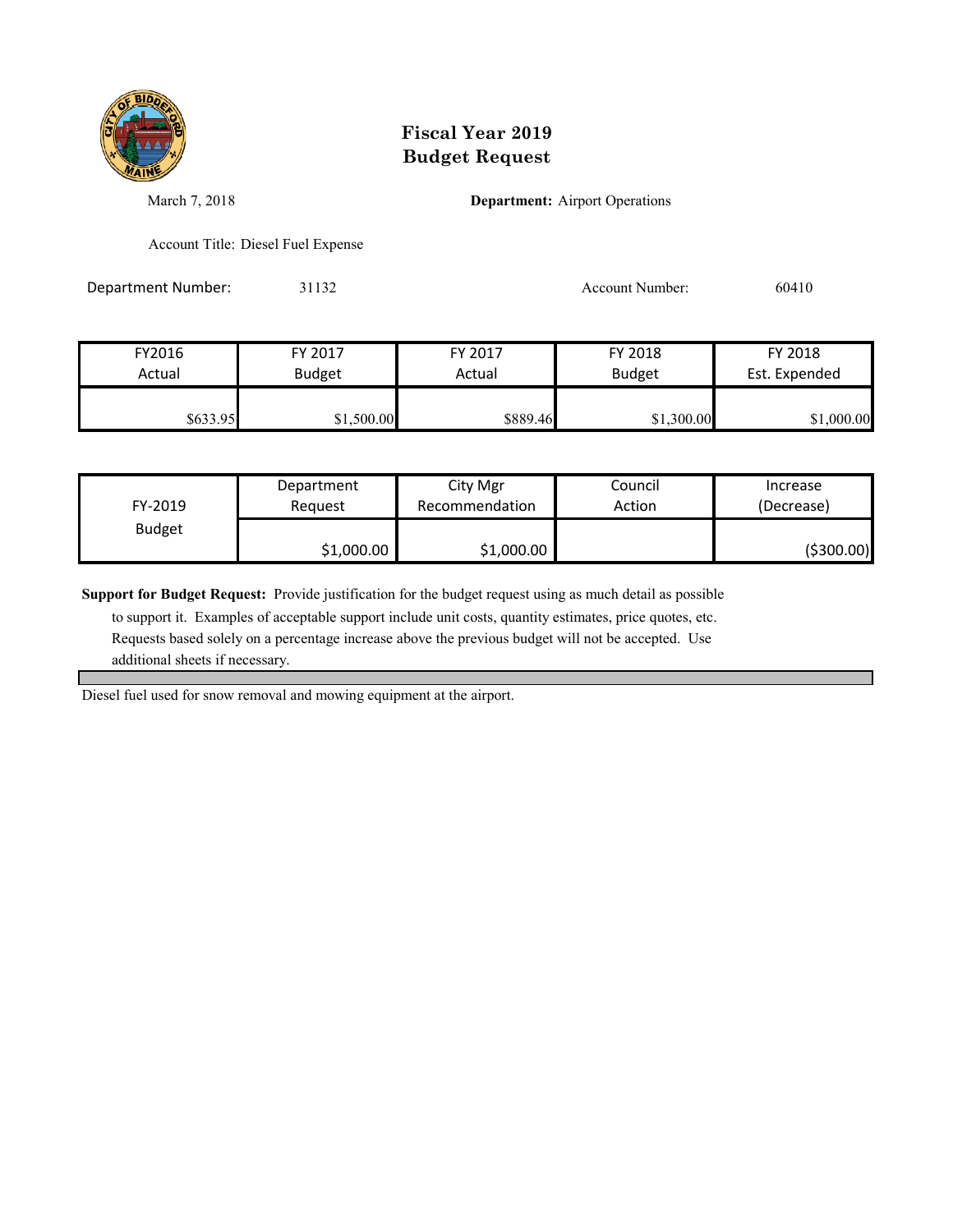

March 7, 2018 **Department:** Airport Operations

Account Title: Diesel Fuel Expense

Department Number: 31132 31132 Account Number: 60410

| FY2016   | FY 2017       | FY 2017  | FY 2018       | FY 2018       |
|----------|---------------|----------|---------------|---------------|
| Actual   | <b>Budget</b> | Actual   | <b>Budget</b> | Est. Expended |
|          |               |          |               |               |
| \$633.95 | \$1,500.00    | \$889.46 | \$1,300.00    | \$1,000.00    |

| FY-2019       | Department | City Mgr       | Council | Increase   |
|---------------|------------|----------------|---------|------------|
|               | Reauest    | Recommendation | Action  | (Decrease) |
| <b>Budget</b> | \$1,000.00 | \$1,000.00     |         | (\$300.00) |

**Support for Budget Request:** Provide justification for the budget request using as much detail as possible

 to support it. Examples of acceptable support include unit costs, quantity estimates, price quotes, etc. Requests based solely on a percentage increase above the previous budget will not be accepted. Use additional sheets if necessary.

Diesel fuel used for snow removal and mowing equipment at the airport.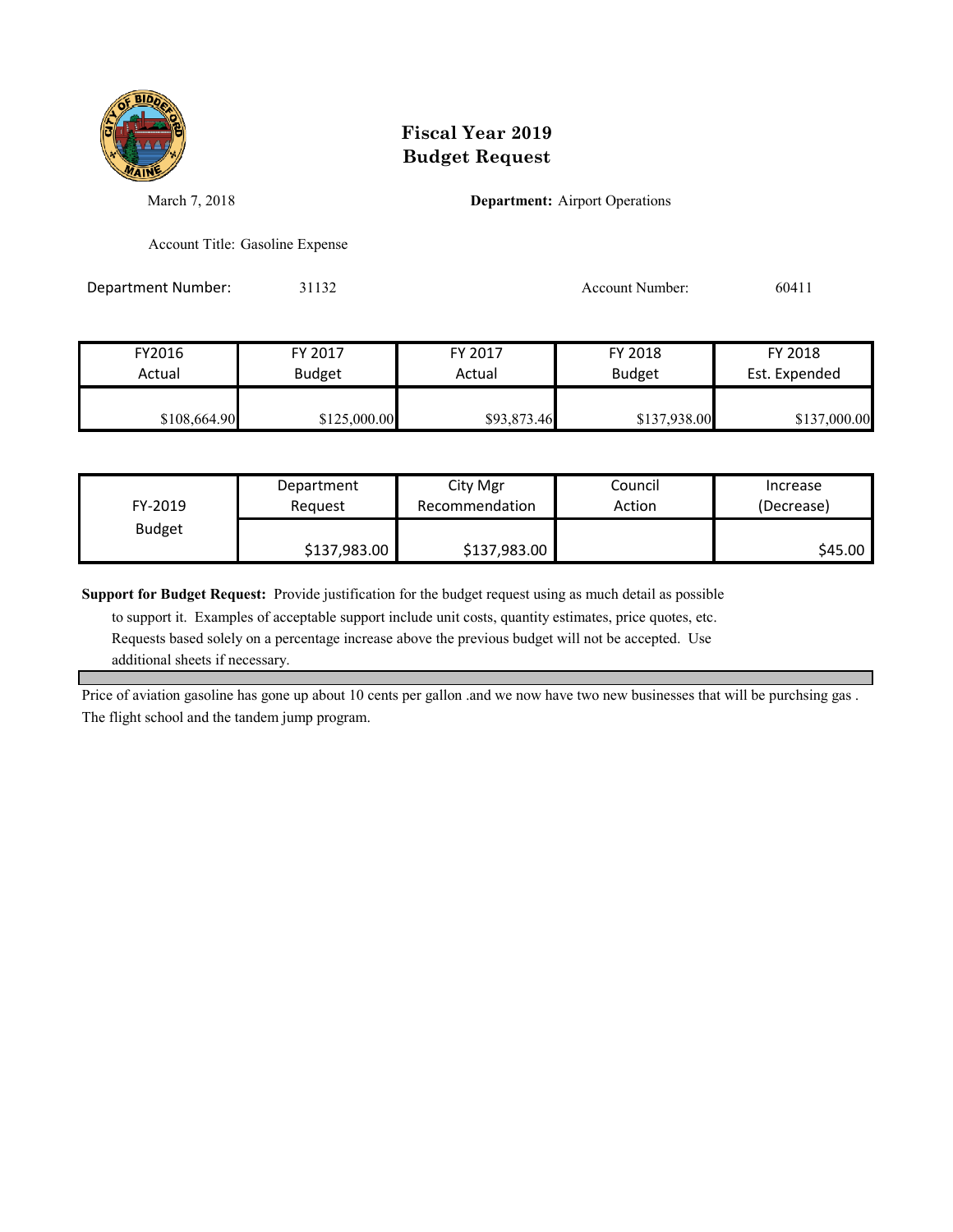

March 7, 2018 **Department:** Airport Operations

Account Title: Gasoline Expense

Department Number: 31132 Account Number: 60411

| FY2016       | FY 2017       | FY 2017     | FY 2018       | FY 2018       |
|--------------|---------------|-------------|---------------|---------------|
| Actual       | <b>Budget</b> | Actual      | <b>Budget</b> | Est. Expended |
|              |               |             |               |               |
| \$108,664.90 | \$125,000.00  | \$93,873.46 | \$137,938.00  | \$137,000.00  |

| FY-2019       | Department   | City Mgr       | Council | Increase   |
|---------------|--------------|----------------|---------|------------|
|               | Reauest      | Recommendation | Action  | (Decrease) |
| <b>Budget</b> | \$137,983.00 | \$137,983.00   |         | S45.00     |

**Support for Budget Request:** Provide justification for the budget request using as much detail as possible

 to support it. Examples of acceptable support include unit costs, quantity estimates, price quotes, etc. Requests based solely on a percentage increase above the previous budget will not be accepted. Use additional sheets if necessary.

Price of aviation gasoline has gone up about 10 cents per gallon .and we now have two new businesses that will be purchsing gas . The flight school and the tandem jump program.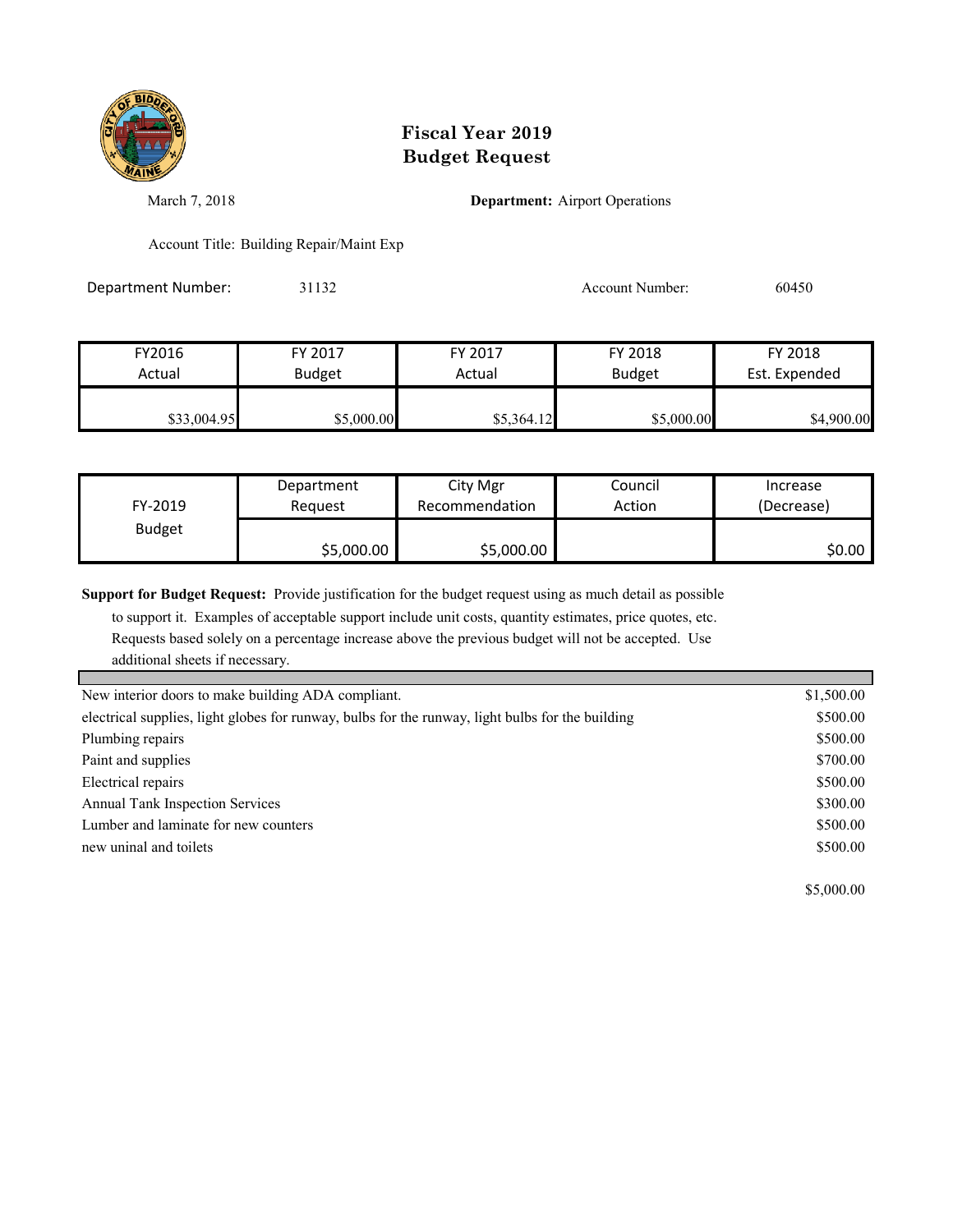

March 7, 2018 **Department:** Airport Operations

Account Title: Building Repair/Maint Exp

Department Number: 31132 31132 Account Number: 60450

| FY2016      | FY 2017       | FY 2017    | FY 2018       | FY 2018       |
|-------------|---------------|------------|---------------|---------------|
| Actual      | <b>Budget</b> | Actual     | <b>Budget</b> | Est. Expended |
| \$33,004.95 | \$5,000.00    | \$5,364.12 | \$5,000.00    | \$4,900.00    |

| FY-2019       | Department | City Mgr       | Council | Increase   |
|---------------|------------|----------------|---------|------------|
|               | Reauest    | Recommendation | Action  | (Decrease) |
| <b>Budget</b> | \$5,000.00 | \$5,000.00     |         | \$0.00     |

**Support for Budget Request:** Provide justification for the budget request using as much detail as possible

to support it. Examples of acceptable support include unit costs, quantity estimates, price quotes, etc.

 Requests based solely on a percentage increase above the previous budget will not be accepted. Use additional sheets if necessary.

| New interior doors to make building ADA compliant.                                               | \$1,500.00 |
|--------------------------------------------------------------------------------------------------|------------|
| electrical supplies, light globes for runway, bulbs for the runway, light bulbs for the building | \$500.00   |
| Plumbing repairs                                                                                 | \$500.00   |
| Paint and supplies                                                                               | \$700.00   |
| Electrical repairs                                                                               | \$500.00   |
| <b>Annual Tank Inspection Services</b>                                                           | \$300.00   |
| Lumber and laminate for new counters                                                             | \$500.00   |
| new uninal and toilets                                                                           | \$500.00   |
|                                                                                                  |            |

\$5,000.00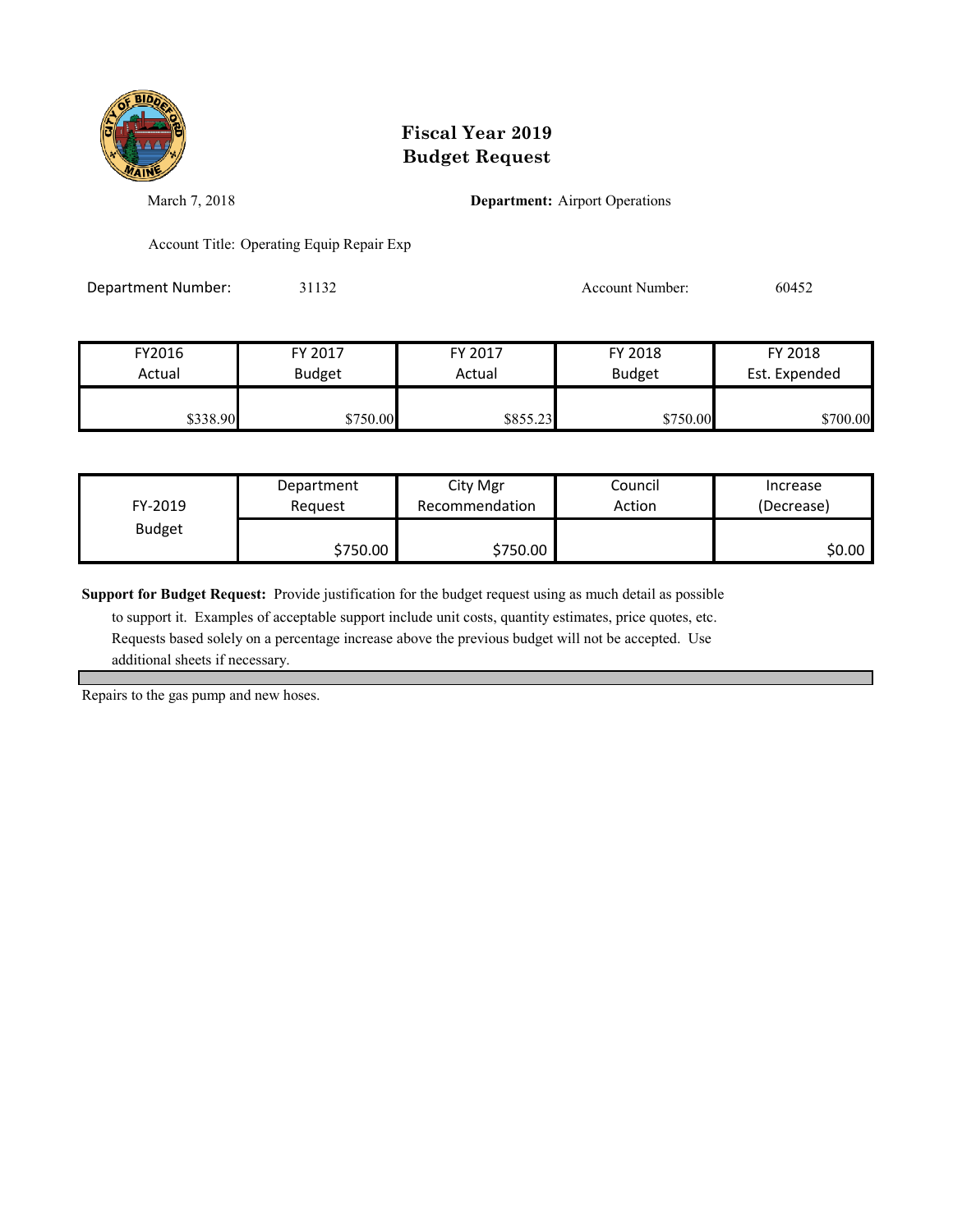

March 7, 2018 **Department:** Airport Operations

Account Title: Operating Equip Repair Exp

Department Number: 31132 Account Number: 60452

FY2016 FY 2017 FY 2017 FY 2018 FY 2018 Actual Budget **Actual Budget** Actual Budget Est. Expended **\$338.90** \$750.00 \$750.00 \$855.23 \$750.00 \$700.00

| FY-2019       | Department | City Mgr       | Council | Increase   |
|---------------|------------|----------------|---------|------------|
|               | Reauest    | Recommendation | Action  | (Decrease) |
| <b>Budget</b> | \$750.00   | \$750.00       |         | \$0.00     |

**Support for Budget Request:** Provide justification for the budget request using as much detail as possible

 to support it. Examples of acceptable support include unit costs, quantity estimates, price quotes, etc. Requests based solely on a percentage increase above the previous budget will not be accepted. Use additional sheets if necessary.

Repairs to the gas pump and new hoses.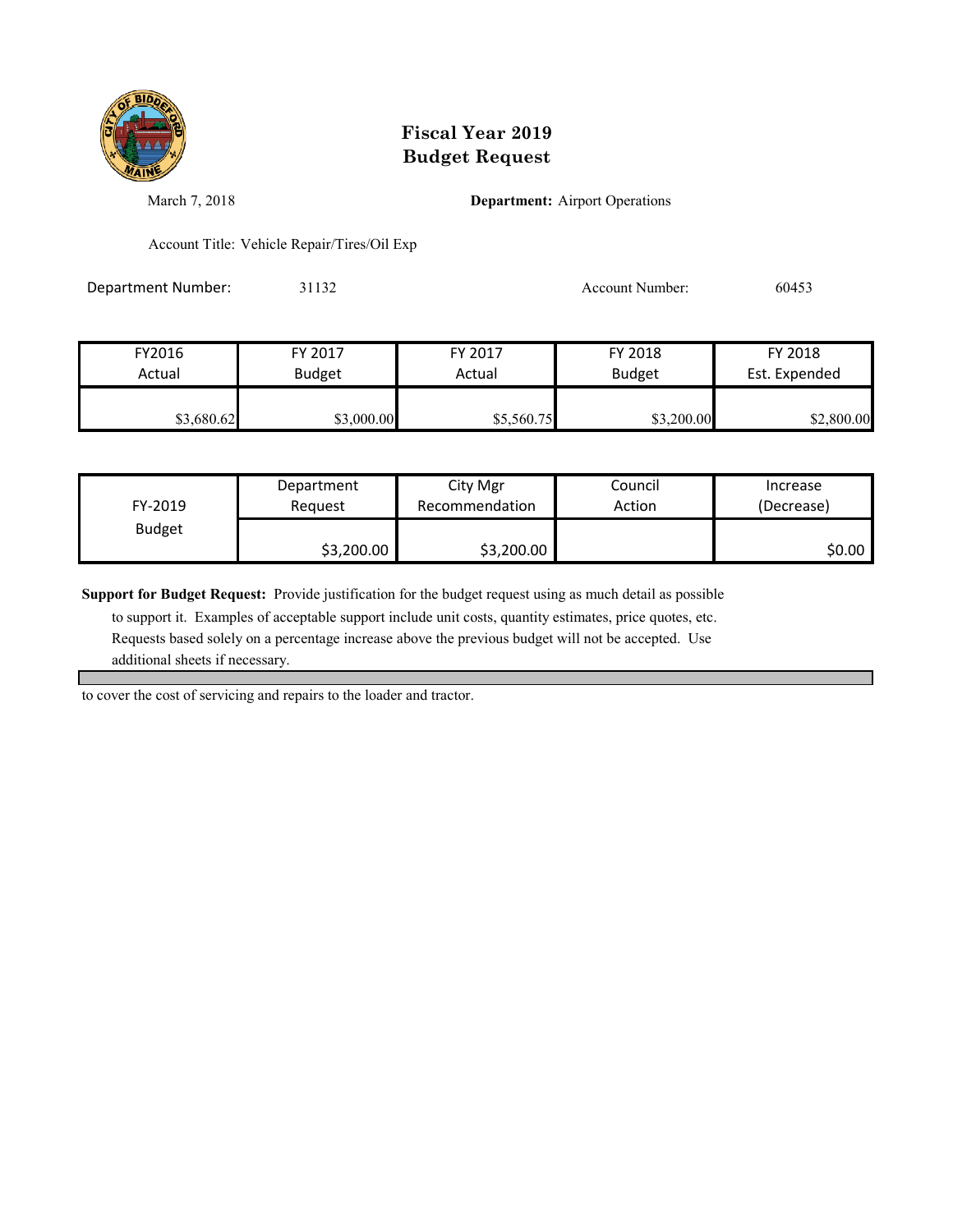

March 7, 2018 **Department:** Airport Operations

Account Title: Vehicle Repair/Tires/Oil Exp

Department Number: 31132 31132 Account Number: 60453

| FY2016     | FY 2017       | FY 2017    | FY 2018       | FY 2018       |
|------------|---------------|------------|---------------|---------------|
| Actual     | <b>Budget</b> | Actual     | <b>Budget</b> | Est. Expended |
| \$3,680.62 | \$3,000.00    | \$5,560.75 | \$3,200.00    | \$2,800.00    |

| FY-2019       | Department | City Mgr       | Council | Increase   |
|---------------|------------|----------------|---------|------------|
|               | Reauest    | Recommendation | Action  | (Decrease) |
| <b>Budget</b> | \$3,200.00 | \$3,200.00     |         | \$0.00     |

**Support for Budget Request:** Provide justification for the budget request using as much detail as possible

 to support it. Examples of acceptable support include unit costs, quantity estimates, price quotes, etc. Requests based solely on a percentage increase above the previous budget will not be accepted. Use additional sheets if necessary.

to cover the cost of servicing and repairs to the loader and tractor.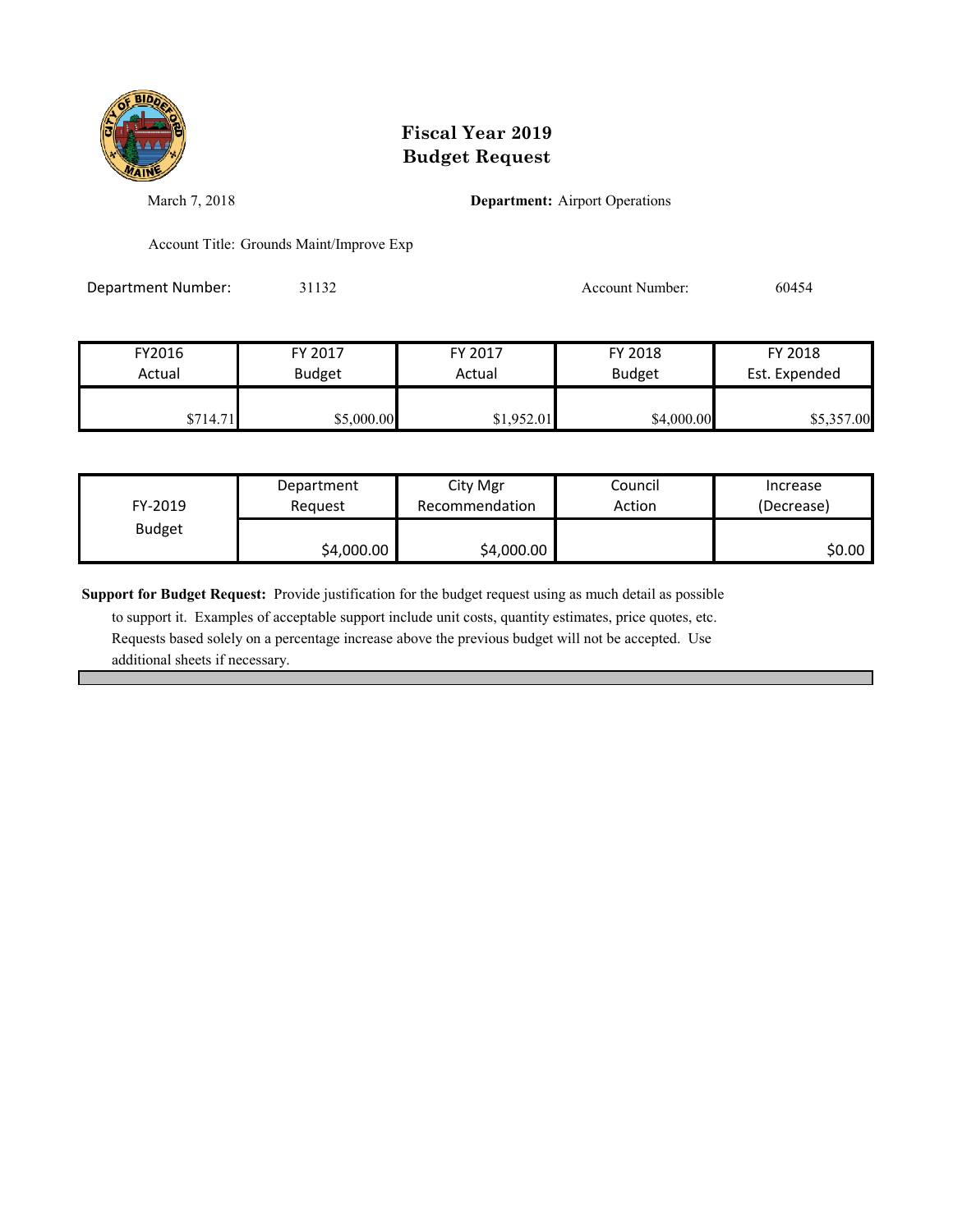

March 7, 2018 **Department:** Airport Operations

Account Title: Grounds Maint/Improve Exp

Department Number: 31132 31132 Account Number: 60454

| FY2016   | FY 2017       | FY 2017    | FY 2018       | FY 2018       |
|----------|---------------|------------|---------------|---------------|
| Actual   | <b>Budget</b> | Actual     | <b>Budget</b> | Est. Expended |
| \$714.71 | \$5,000.00    | \$1,952.01 | \$4,000.00    | \$5,357.00    |

| FY-2019       | Department | City Mgr       | Council | Increase   |
|---------------|------------|----------------|---------|------------|
|               | Reauest    | Recommendation | Action  | (Decrease) |
| <b>Budget</b> | \$4,000.00 | \$4,000.00     |         | \$0.00     |

**Support for Budget Request:** Provide justification for the budget request using as much detail as possible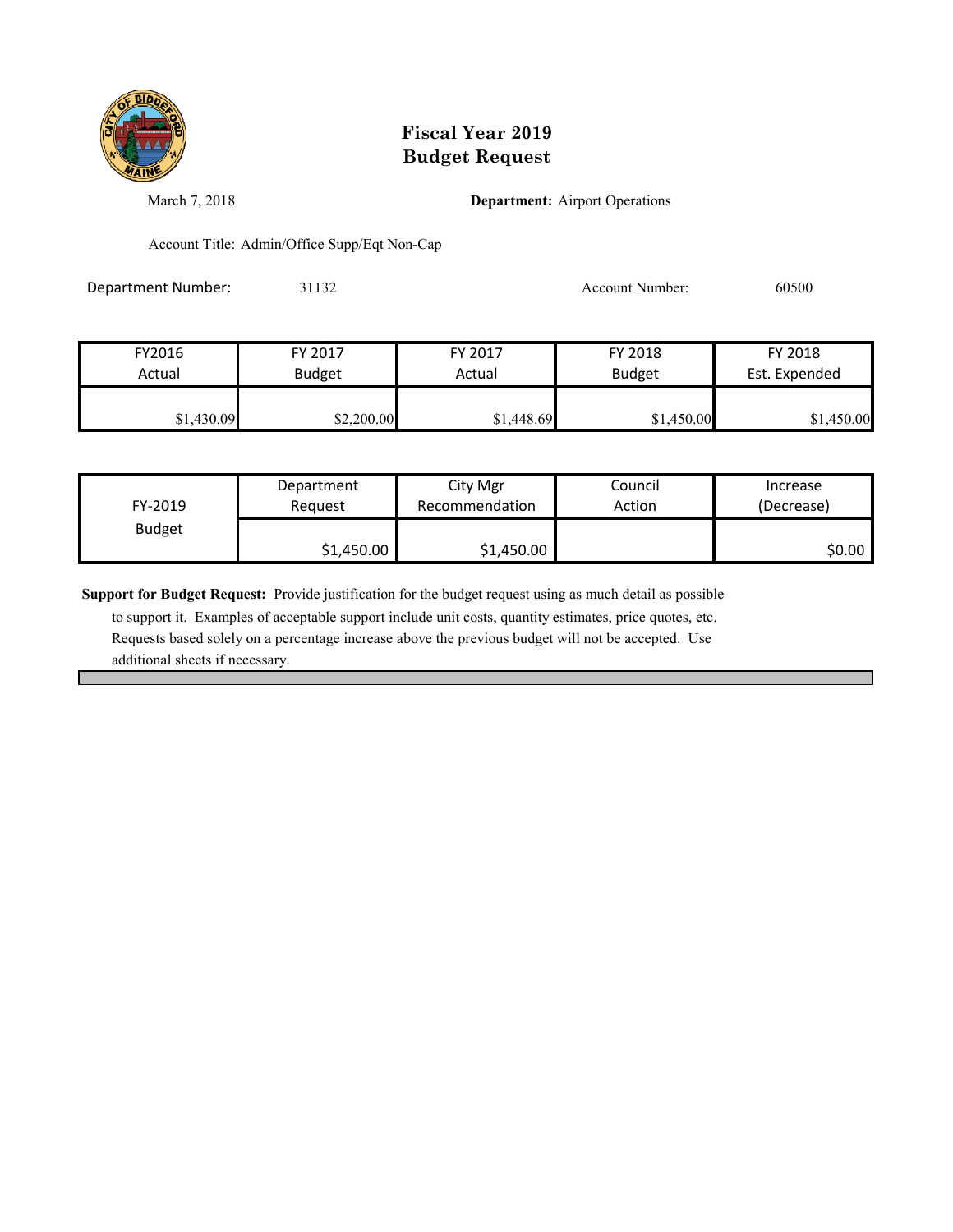

March 7, 2018 **Department:** Airport Operations

Account Title: Admin/Office Supp/Eqt Non-Cap

Department Number: 31132 31132 Account Number: 60500

| FY2016     | FY 2017       | FY 2017    | FY 2018       | FY 2018       |
|------------|---------------|------------|---------------|---------------|
| Actual     | <b>Budget</b> | Actual     | <b>Budget</b> | Est. Expended |
|            |               |            |               |               |
| \$1,430.09 | \$2,200.00    | \$1,448.69 | \$1,450.00    | \$1,450.00    |

| FY-2019       | Department | City Mgr       | Council | Increase   |
|---------------|------------|----------------|---------|------------|
|               | Reauest    | Recommendation | Action  | (Decrease) |
| <b>Budget</b> | \$1,450.00 | \$1,450.00     |         | \$0.00     |

**Support for Budget Request:** Provide justification for the budget request using as much detail as possible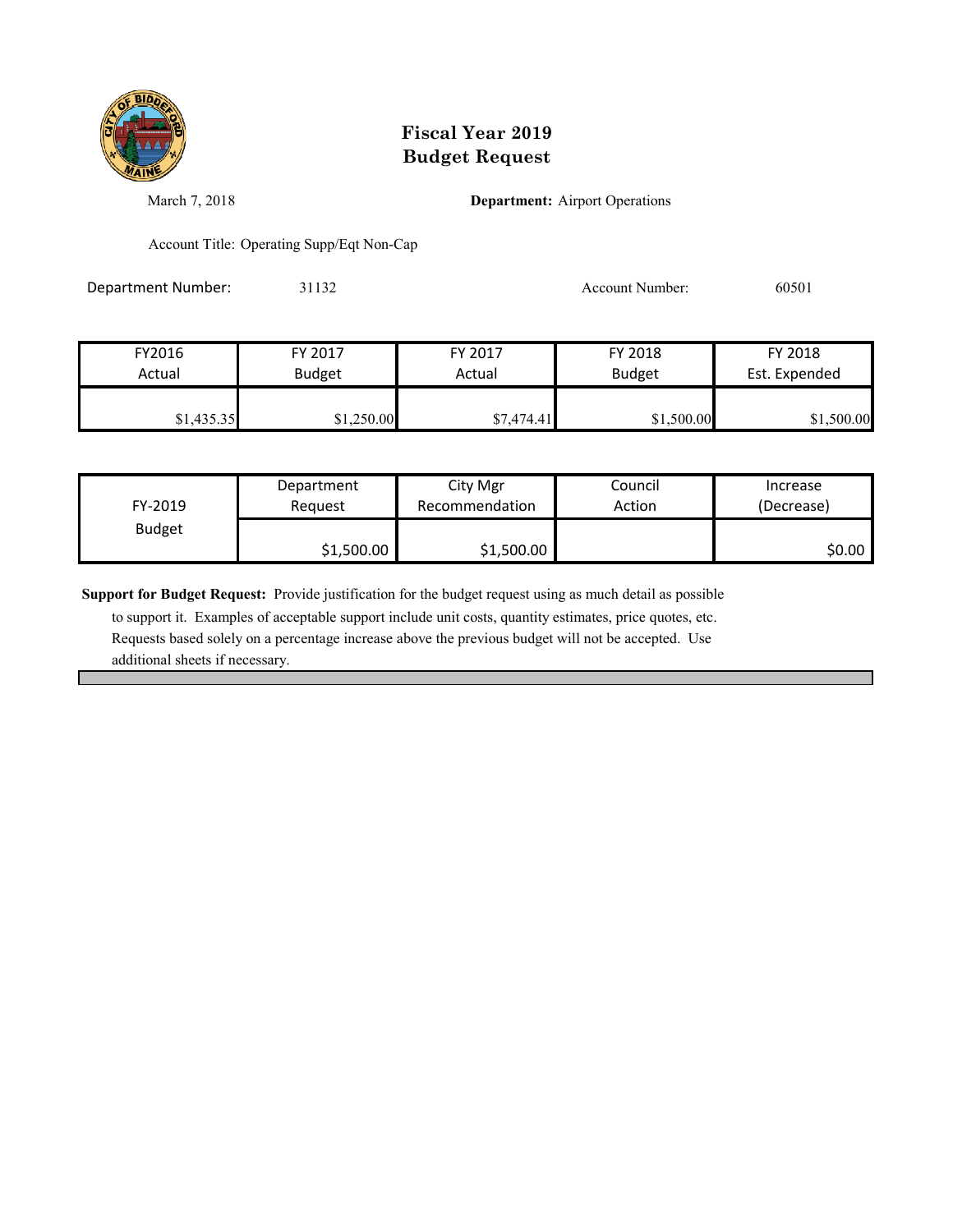

March 7, 2018 **Department:** Airport Operations

Account Title: Operating Supp/Eqt Non-Cap

Department Number: 31132 31132 Account Number: 60501

| FY2016     | FY 2017       | FY 2017    | FY 2018       | FY 2018       |
|------------|---------------|------------|---------------|---------------|
| Actual     | <b>Budget</b> | Actual     | <b>Budget</b> | Est. Expended |
| \$1,435.35 | \$1,250.00    | \$7,474.41 | \$1,500.00    | \$1,500.00    |

| FY-2019       | Department | City Mgr       | Council | Increase   |
|---------------|------------|----------------|---------|------------|
|               | Request    | Recommendation | Action  | (Decrease) |
| <b>Budget</b> | \$1,500.00 | \$1,500.00     |         | \$0.00     |

**Support for Budget Request:** Provide justification for the budget request using as much detail as possible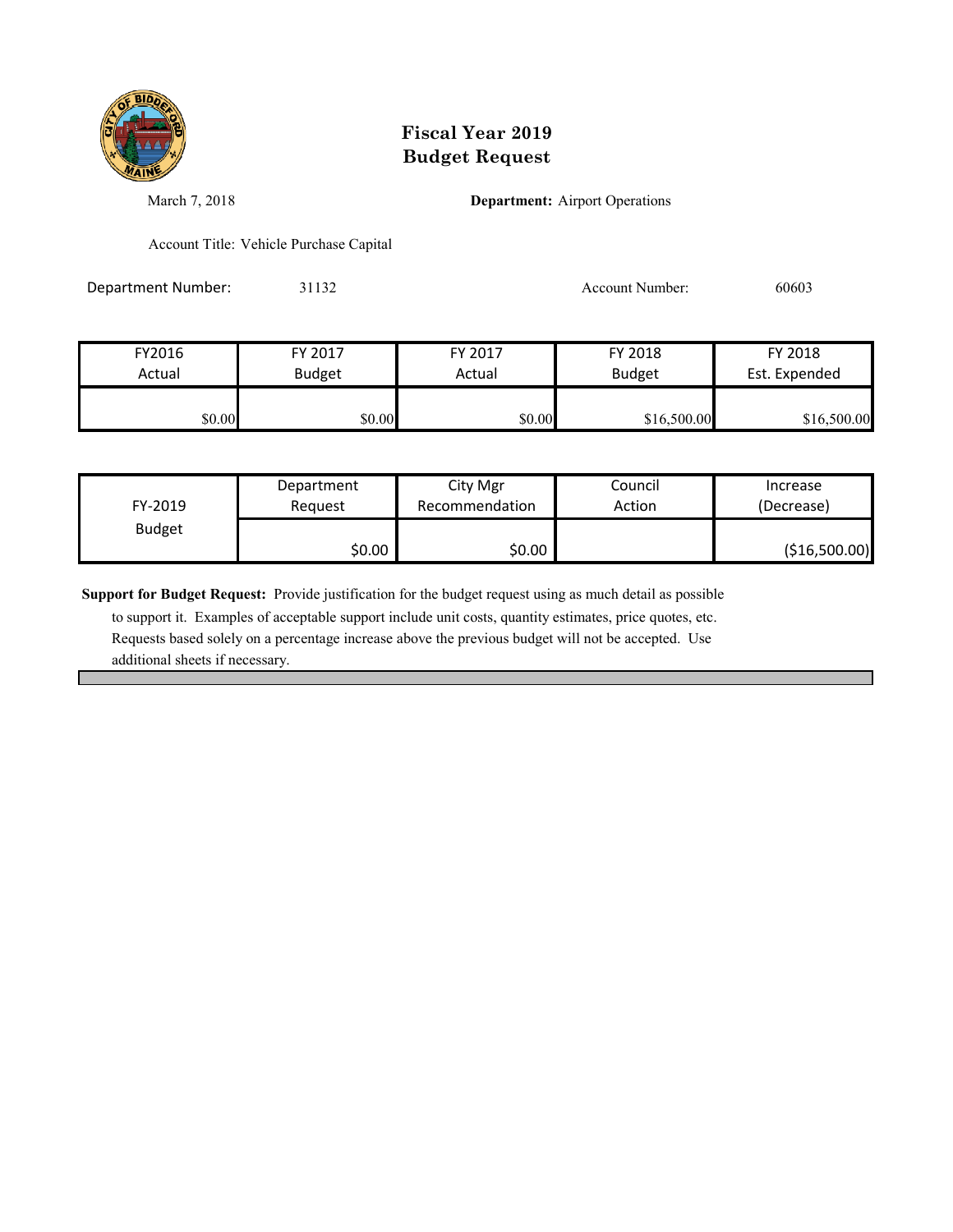

March 7, 2018 **Department:** Airport Operations

Account Title: Vehicle Purchase Capital

Department Number: 31132 31132 Account Number: 60603

| FY2016 | FY 2017       | FY 2017 | FY 2018       | FY 2018       |
|--------|---------------|---------|---------------|---------------|
| Actual | <b>Budget</b> | Actual  | <b>Budget</b> | Est. Expended |
|        |               |         |               |               |
| \$0.00 | \$0.00        | \$0.00  | \$16,500.00   | \$16,500.00   |

| FY-2019       | Department | City Mgr       | Council | Increase      |
|---------------|------------|----------------|---------|---------------|
|               | Reauest    | Recommendation | Action  | (Decrease)    |
| <b>Budget</b> | \$0.00     | \$0.00         |         | (\$16,500.00) |

**Support for Budget Request:** Provide justification for the budget request using as much detail as possible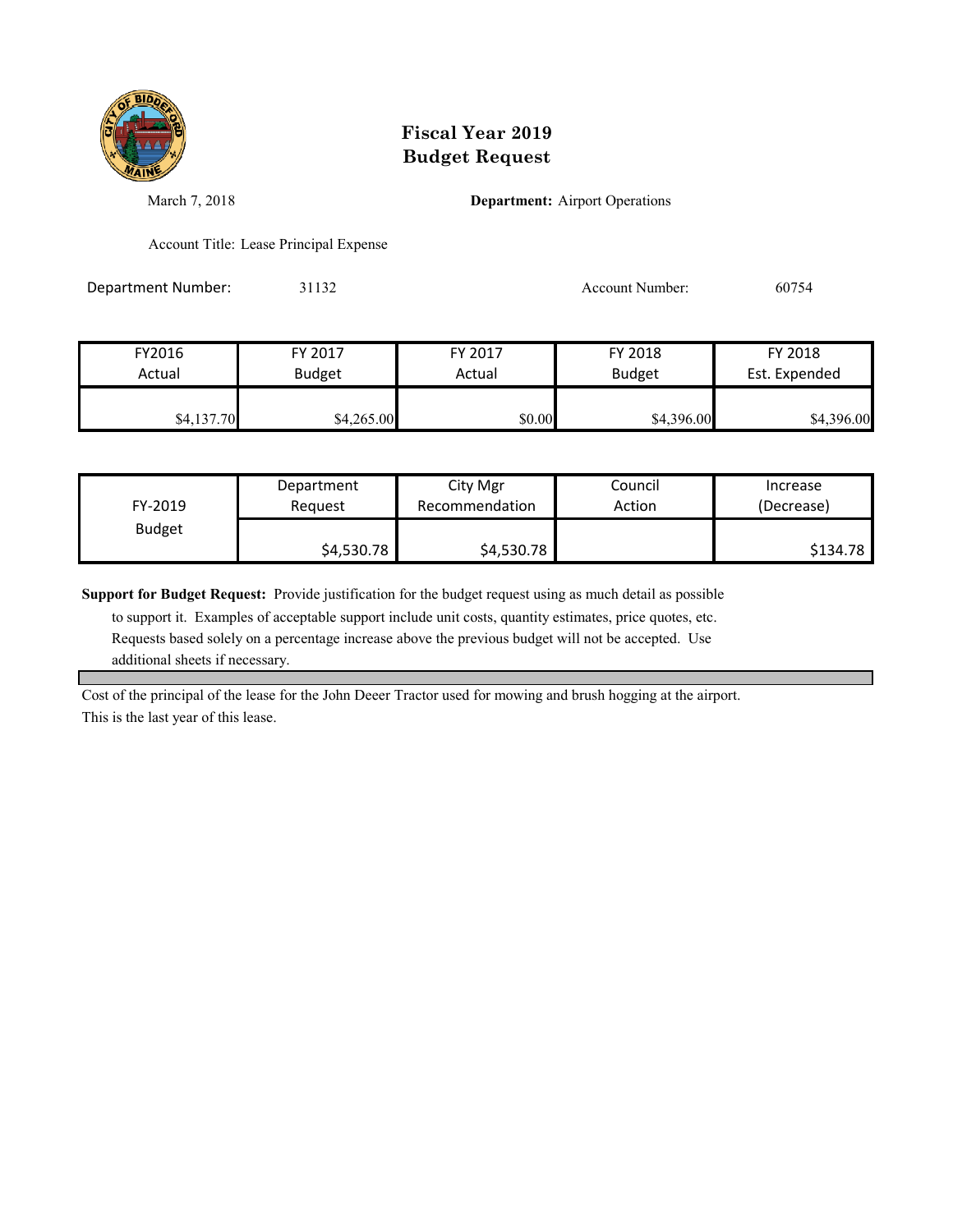

March 7, 2018 **Department:** Airport Operations

Account Title: Lease Principal Expense

Department Number: 31132 Account Number: 60754

| FY2016     | FY 2017       | FY 2017 | FY 2018       | FY 2018       |
|------------|---------------|---------|---------------|---------------|
| Actual     | <b>Budget</b> | Actual  | <b>Budget</b> | Est. Expended |
|            |               |         |               |               |
| \$4,137.70 | \$4,265.00    | \$0.00  | \$4,396.00    | \$4,396.00    |

| FY-2019       | Department | City Mgr       | Council | Increase   |
|---------------|------------|----------------|---------|------------|
|               | Reauest    | Recommendation | Action  | (Decrease) |
| <b>Budget</b> | \$4,530.78 | \$4,530.78     |         | \$134.78   |

**Support for Budget Request:** Provide justification for the budget request using as much detail as possible

 to support it. Examples of acceptable support include unit costs, quantity estimates, price quotes, etc. Requests based solely on a percentage increase above the previous budget will not be accepted. Use additional sheets if necessary.

Cost of the principal of the lease for the John Deeer Tractor used for mowing and brush hogging at the airport. This is the last year of this lease.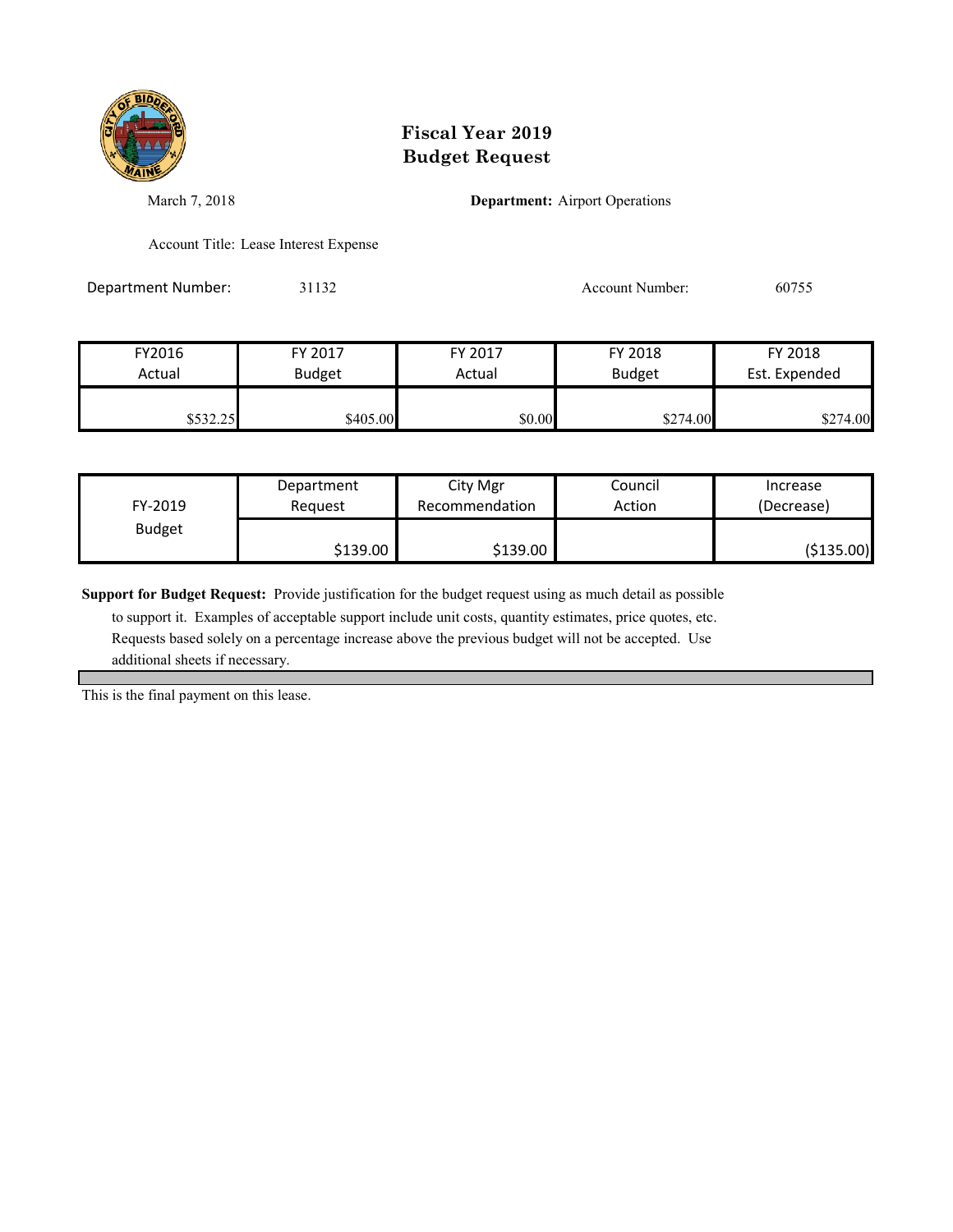

March 7, 2018 **Department:** Airport Operations

Account Title: Lease Interest Expense

Department Number: 31132 31132 Account Number: 60755

| FY2016   | FY 2017       | FY 2017 | FY 2018       | FY 2018       |
|----------|---------------|---------|---------------|---------------|
| Actual   | <b>Budget</b> | Actual  | <b>Budget</b> | Est. Expended |
| \$532.25 | \$405.00      | \$0.00  | \$274.00      | \$274.00      |

| FY-2019       | Department | City Mgr       | Council | Increase   |
|---------------|------------|----------------|---------|------------|
|               | Reauest    | Recommendation | Action  | (Decrease) |
| <b>Budget</b> | \$139.00   | \$139.00       |         | (\$135.00) |

**Support for Budget Request:** Provide justification for the budget request using as much detail as possible

 to support it. Examples of acceptable support include unit costs, quantity estimates, price quotes, etc. Requests based solely on a percentage increase above the previous budget will not be accepted. Use additional sheets if necessary.

This is the final payment on this lease.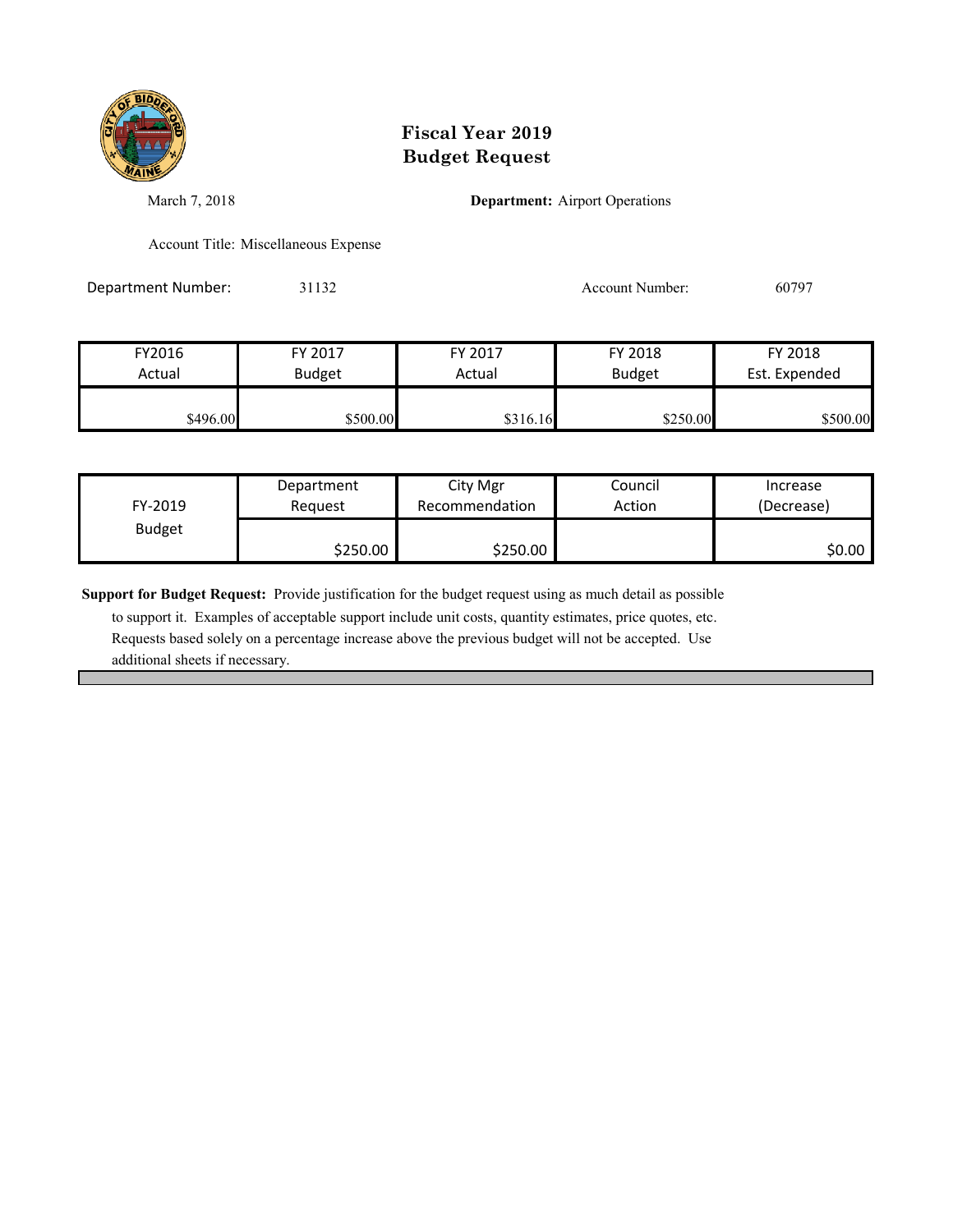

March 7, 2018 **Department:** Airport Operations

Account Title: Miscellaneous Expense

Department Number: 31132 Account Number: 60797

FY2016 FY 2017 FY 2017 FY 2018 FY 2018 Actual Budget **Actual Budget** Actual Budget Est. Expended  $$316.16$  \$500.00 \$500.00 \$316.16 \$250.00 \$500.00

| FY-2019<br><b>Budget</b> | Department<br>Reauest | City Mgr<br>Recommendation | Council<br>Action | Increase<br>(Decrease) |
|--------------------------|-----------------------|----------------------------|-------------------|------------------------|
|                          | \$250.00              | \$250.00                   |                   | \$0.00                 |

**Support for Budget Request:** Provide justification for the budget request using as much detail as possible